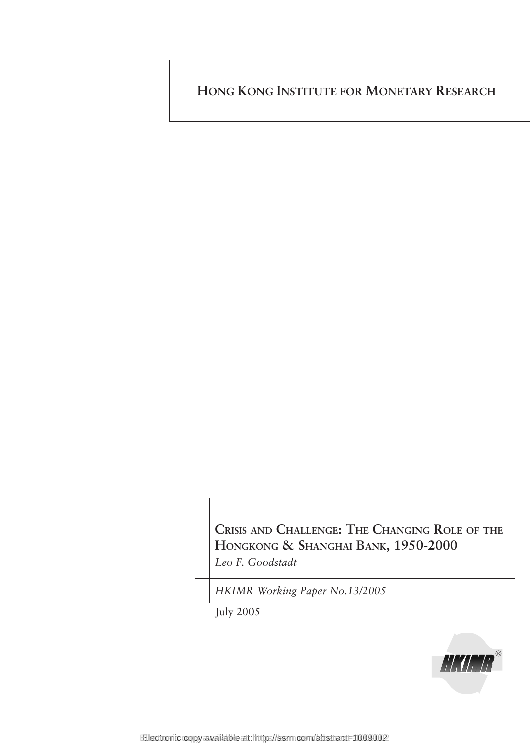**HONG KONG INSTITUTE FOR MONETARY RESEARCH**

**CRISIS AND CHALLENGE: THE CHANGING ROLE OF THE HONGKONG & SHANGHAI BANK, 1950-2000** *Leo F. Goodstadt*

*HKIMR Working Paper No.13/2005*

July 2005

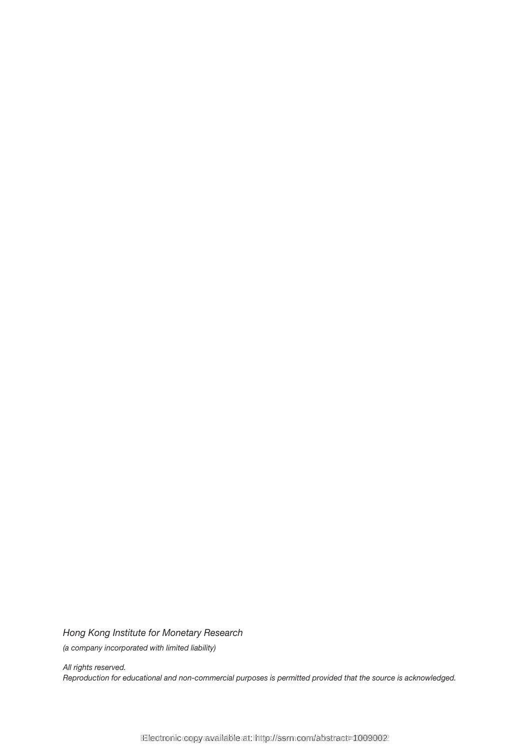*Hong Kong Institute for Monetary Research (a company incorporated with limited liability)*

*All rights reserved. Reproduction for educational and non-commercial purposes is permitted provided that the source is acknowledged.*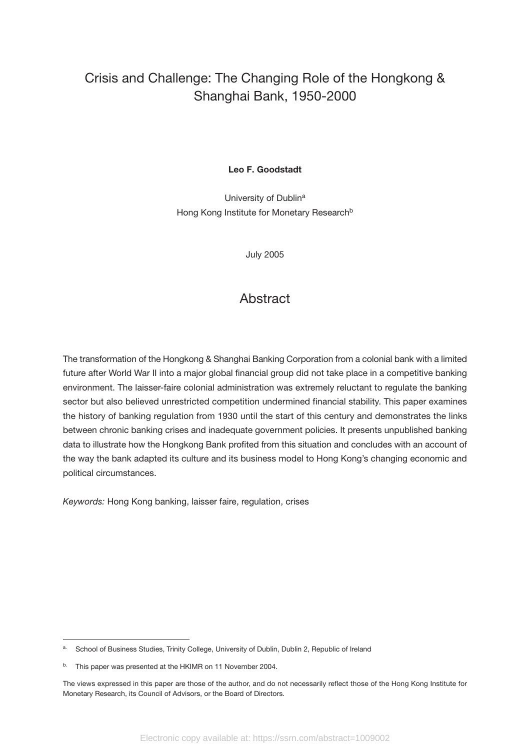# Crisis and Challenge: The Changing Role of the Hongkong & Shanghai Bank, 1950-2000

# **Leo F. Goodstadt**

University of Dublin<sup>a</sup> Hong Kong Institute for Monetary Research<sup>b</sup>

July 2005

# **Abstract**

The transformation of the Hongkong & Shanghai Banking Corporation from a colonial bank with a limited future after World War II into a major global financial group did not take place in a competitive banking environment. The laisser-faire colonial administration was extremely reluctant to regulate the banking sector but also believed unrestricted competition undermined financial stability. This paper examines the history of banking regulation from 1930 until the start of this century and demonstrates the links between chronic banking crises and inadequate government policies. It presents unpublished banking data to illustrate how the Hongkong Bank profited from this situation and concludes with an account of the way the bank adapted its culture and its business model to Hong Kong's changing economic and political circumstances.

*Keywords:* Hong Kong banking, laisser faire, regulation, crises

School of Business Studies, Trinity College, University of Dublin, Dublin 2, Republic of Ireland

b. This paper was presented at the HKIMR on 11 November 2004.

The views expressed in this paper are those of the author, and do not necessarily reflect those of the Hong Kong Institute for Monetary Research, its Council of Advisors, or the Board of Directors.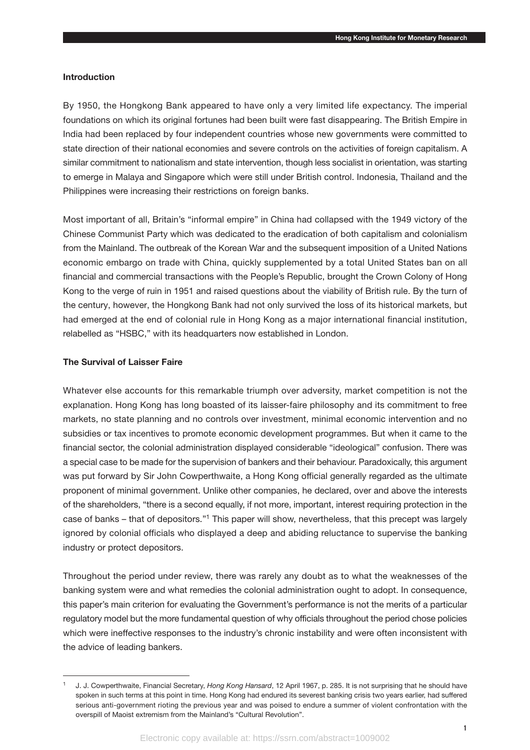#### **Introduction**

By 1950, the Hongkong Bank appeared to have only a very limited life expectancy. The imperial foundations on which its original fortunes had been built were fast disappearing. The British Empire in India had been replaced by four independent countries whose new governments were committed to state direction of their national economies and severe controls on the activities of foreign capitalism. A similar commitment to nationalism and state intervention, though less socialist in orientation, was starting to emerge in Malaya and Singapore which were still under British control. Indonesia, Thailand and the Philippines were increasing their restrictions on foreign banks.

Most important of all, Britain's "informal empire" in China had collapsed with the 1949 victory of the Chinese Communist Party which was dedicated to the eradication of both capitalism and colonialism from the Mainland. The outbreak of the Korean War and the subsequent imposition of a United Nations economic embargo on trade with China, quickly supplemented by a total United States ban on all financial and commercial transactions with the People's Republic, brought the Crown Colony of Hong Kong to the verge of ruin in 1951 and raised questions about the viability of British rule. By the turn of the century, however, the Hongkong Bank had not only survived the loss of its historical markets, but had emerged at the end of colonial rule in Hong Kong as a major international financial institution, relabelled as "HSBC," with its headquarters now established in London.

#### **The Survival of Laisser Faire**

Whatever else accounts for this remarkable triumph over adversity, market competition is not the explanation. Hong Kong has long boasted of its laisser-faire philosophy and its commitment to free markets, no state planning and no controls over investment, minimal economic intervention and no subsidies or tax incentives to promote economic development programmes. But when it came to the financial sector, the colonial administration displayed considerable "ideological" confusion. There was a special case to be made for the supervision of bankers and their behaviour. Paradoxically, this argument was put forward by Sir John Cowperthwaite, a Hong Kong official generally regarded as the ultimate proponent of minimal government. Unlike other companies, he declared, over and above the interests of the shareholders, "there is a second equally, if not more, important, interest requiring protection in the case of banks – that of depositors."1 This paper will show, nevertheless, that this precept was largely ignored by colonial officials who displayed a deep and abiding reluctance to supervise the banking industry or protect depositors.

Throughout the period under review, there was rarely any doubt as to what the weaknesses of the banking system were and what remedies the colonial administration ought to adopt. In consequence, this paper's main criterion for evaluating the Government's performance is not the merits of a particular regulatory model but the more fundamental question of why officials throughout the period chose policies which were ineffective responses to the industry's chronic instability and were often inconsistent with the advice of leading bankers.

<sup>1</sup> J. J. Cowperthwaite, Financial Secretary, *Hong Kong Hansard*, 12 April 1967, p. 285. It is not surprising that he should have spoken in such terms at this point in time. Hong Kong had endured its severest banking crisis two years earlier, had suffered serious anti-government rioting the previous year and was poised to endure a summer of violent confrontation with the overspill of Maoist extremism from the Mainland's "Cultural Revolution".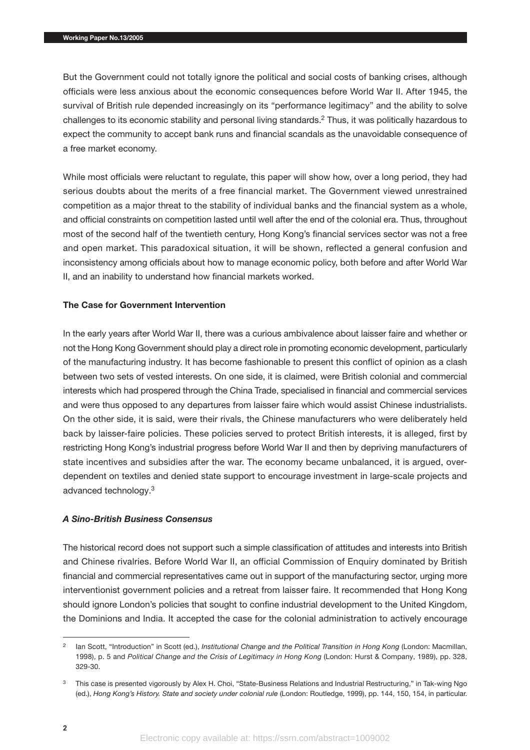But the Government could not totally ignore the political and social costs of banking crises, although officials were less anxious about the economic consequences before World War II. After 1945, the survival of British rule depended increasingly on its "performance legitimacy" and the ability to solve challenges to its economic stability and personal living standards.2 Thus, it was politically hazardous to expect the community to accept bank runs and financial scandals as the unavoidable consequence of a free market economy.

While most officials were reluctant to regulate, this paper will show how, over a long period, they had serious doubts about the merits of a free financial market. The Government viewed unrestrained competition as a major threat to the stability of individual banks and the financial system as a whole, and official constraints on competition lasted until well after the end of the colonial era. Thus, throughout most of the second half of the twentieth century, Hong Kong's financial services sector was not a free and open market. This paradoxical situation, it will be shown, reflected a general confusion and inconsistency among officials about how to manage economic policy, both before and after World War II, and an inability to understand how financial markets worked.

# **The Case for Government Intervention**

In the early years after World War II, there was a curious ambivalence about laisser faire and whether or not the Hong Kong Government should play a direct role in promoting economic development, particularly of the manufacturing industry. It has become fashionable to present this conflict of opinion as a clash between two sets of vested interests. On one side, it is claimed, were British colonial and commercial interests which had prospered through the China Trade, specialised in financial and commercial services and were thus opposed to any departures from laisser faire which would assist Chinese industrialists. On the other side, it is said, were their rivals, the Chinese manufacturers who were deliberately held back by laisser-faire policies. These policies served to protect British interests, it is alleged, first by restricting Hong Kong's industrial progress before World War II and then by depriving manufacturers of state incentives and subsidies after the war. The economy became unbalanced, it is argued, overdependent on textiles and denied state support to encourage investment in large-scale projects and advanced technology.3

#### *A Sino-British Business Consensus*

The historical record does not support such a simple classification of attitudes and interests into British and Chinese rivalries. Before World War II, an official Commission of Enquiry dominated by British financial and commercial representatives came out in support of the manufacturing sector, urging more interventionist government policies and a retreat from laisser faire. It recommended that Hong Kong should ignore London's policies that sought to confine industrial development to the United Kingdom, the Dominions and India. It accepted the case for the colonial administration to actively encourage

lan Scott, "Introduction" in Scott (ed.), *Institutional Change and the Political Transition in Hong Kong (London: Macmillan,* 1998), p. 5 and *Political Change and the Crisis of Legitimacy in Hong Kong* (London: Hurst & Company, 1989), pp. 328, 329-30.

<sup>&</sup>lt;sup>3</sup> This case is presented vigorously by Alex H. Choi, "State-Business Relations and Industrial Restructuring," in Tak-wing Ngo (ed.), *Hong Kong's History. State and society under colonial rule* (London: Routledge, 1999), pp. 144, 150, 154, in particular.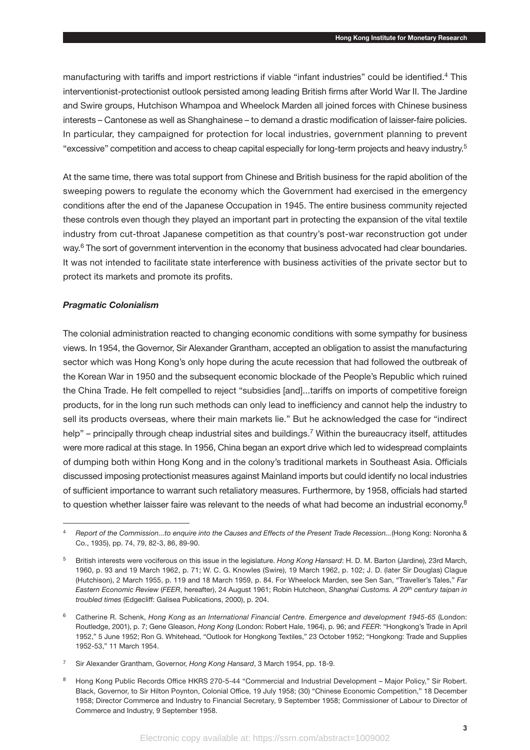manufacturing with tariffs and import restrictions if viable "infant industries" could be identified.4 This interventionist-protectionist outlook persisted among leading British firms after World War II. The Jardine and Swire groups, Hutchison Whampoa and Wheelock Marden all joined forces with Chinese business interests – Cantonese as well as Shanghainese – to demand a drastic modification of laisser-faire policies. In particular, they campaigned for protection for local industries, government planning to prevent "excessive" competition and access to cheap capital especially for long-term projects and heavy industry.<sup>5</sup>

At the same time, there was total support from Chinese and British business for the rapid abolition of the sweeping powers to regulate the economy which the Government had exercised in the emergency conditions after the end of the Japanese Occupation in 1945. The entire business community rejected these controls even though they played an important part in protecting the expansion of the vital textile industry from cut-throat Japanese competition as that country's post-war reconstruction got under way.<sup>6</sup> The sort of government intervention in the economy that business advocated had clear boundaries. It was not intended to facilitate state interference with business activities of the private sector but to protect its markets and promote its profits.

#### *Pragmatic Colonialism*

The colonial administration reacted to changing economic conditions with some sympathy for business views. In 1954, the Governor, Sir Alexander Grantham, accepted an obligation to assist the manufacturing sector which was Hong Kong's only hope during the acute recession that had followed the outbreak of the Korean War in 1950 and the subsequent economic blockade of the People's Republic which ruined the China Trade. He felt compelled to reject "subsidies [and]...tariffs on imports of competitive foreign products, for in the long run such methods can only lead to inefficiency and cannot help the industry to sell its products overseas, where their main markets lie." But he acknowledged the case for "indirect help" – principally through cheap industrial sites and buildings.<sup>7</sup> Within the bureaucracy itself, attitudes were more radical at this stage. In 1956, China began an export drive which led to widespread complaints of dumping both within Hong Kong and in the colony's traditional markets in Southeast Asia. Officials discussed imposing protectionist measures against Mainland imports but could identify no local industries of sufficient importance to warrant such retaliatory measures. Furthermore, by 1958, officials had started to question whether laisser faire was relevant to the needs of what had become an industrial economy.<sup>8</sup>

<sup>4</sup> *Report of the Commission...to enquire into the Causes and Effects of the Present Trade Recession...*(Hong Kong: Noronha & Co., 1935), pp. 74, 79, 82-3, 86, 89-90.

<sup>5</sup> British interests were vociferous on this issue in the legislature. *Hong Kong Hansard*: H. D. M. Barton (Jardine), 23rd March, 1960, p. 93 and 19 March 1962, p. 71; W. C. G. Knowles (Swire), 19 March 1962, p. 102; J. D. (later Sir Douglas) Clague (Hutchison), 2 March 1955, p. 119 and 18 March 1959, p. 84. For Wheelock Marden, see Sen San, "Traveller's Tales," *Far Eastern Economic Review* (*FEER*, hereafter), 24 August 1961; Robin Hutcheon, *Shanghai Customs. A 20th century taipan in troubled times* (Edgecliff: Galisea Publications, 2000), p. 204.

<sup>6</sup> Catherine R. Schenk, *Hong Kong as an International Financial Centre. Emergence and development 1945-65* (London: Routledge, 2001), p. 7; Gene Gleason, *Hong Kong* (London: Robert Hale, 1964), p. 96; and *FEER*: "Hongkong's Trade in April 1952," 5 June 1952; Ron G. Whitehead, "Outlook for Hongkong Textiles," 23 October 1952; "Hongkong: Trade and Supplies 1952-53," 11 March 1954.

<sup>7</sup> Sir Alexander Grantham, Governor, *Hong Kong Hansard*, 3 March 1954, pp. 18-9.

<sup>8</sup> Hong Kong Public Records Office HKRS 270-5-44 "Commercial and Industrial Development – Major Policy," Sir Robert. Black, Governor, to Sir Hilton Poynton, Colonial Office, 19 July 1958; (30) "Chinese Economic Competition," 18 December 1958; Director Commerce and Industry to Financial Secretary, 9 September 1958; Commissioner of Labour to Director of Commerce and Industry, 9 September 1958.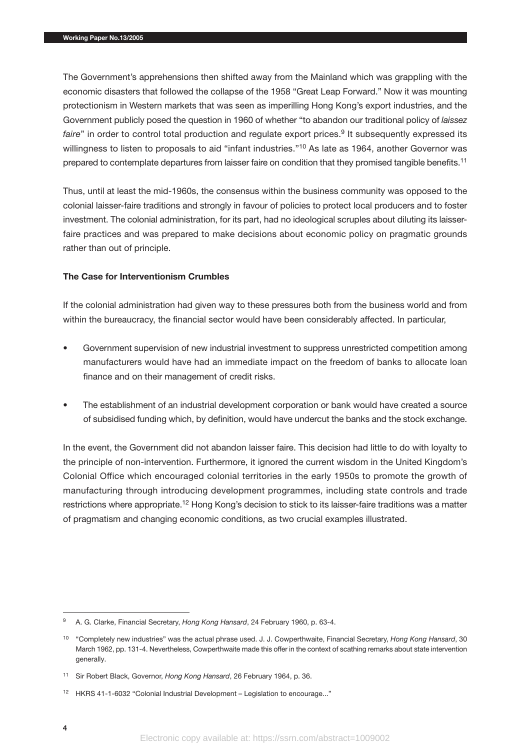The Government's apprehensions then shifted away from the Mainland which was grappling with the economic disasters that followed the collapse of the 1958 "Great Leap Forward." Now it was mounting protectionism in Western markets that was seen as imperilling Hong Kong's export industries, and the Government publicly posed the question in 1960 of whether "to abandon our traditional policy of *laissez faire*" in order to control total production and regulate export prices.<sup>9</sup> It subsequently expressed its willingness to listen to proposals to aid "infant industries."<sup>10</sup> As late as 1964, another Governor was prepared to contemplate departures from laisser faire on condition that they promised tangible benefits.<sup>11</sup>

Thus, until at least the mid-1960s, the consensus within the business community was opposed to the colonial laisser-faire traditions and strongly in favour of policies to protect local producers and to foster investment. The colonial administration, for its part, had no ideological scruples about diluting its laisserfaire practices and was prepared to make decisions about economic policy on pragmatic grounds rather than out of principle.

# **The Case for Interventionism Crumbles**

If the colonial administration had given way to these pressures both from the business world and from within the bureaucracy, the financial sector would have been considerably affected. In particular,

- Government supervision of new industrial investment to suppress unrestricted competition among manufacturers would have had an immediate impact on the freedom of banks to allocate loan finance and on their management of credit risks.
- The establishment of an industrial development corporation or bank would have created a source of subsidised funding which, by definition, would have undercut the banks and the stock exchange.

In the event, the Government did not abandon laisser faire. This decision had little to do with loyalty to the principle of non-intervention. Furthermore, it ignored the current wisdom in the United Kingdom's Colonial Office which encouraged colonial territories in the early 1950s to promote the growth of manufacturing through introducing development programmes, including state controls and trade restrictions where appropriate.<sup>12</sup> Hong Kong's decision to stick to its laisser-faire traditions was a matter of pragmatism and changing economic conditions, as two crucial examples illustrated.

<sup>9</sup> A. G. Clarke, Financial Secretary, *Hong Kong Hansard*, 24 February 1960, p. 63-4.

<sup>10</sup> "Completely new industries" was the actual phrase used. J. J. Cowperthwaite, Financial Secretary, *Hong Kong Hansard*, 30 March 1962, pp. 131-4. Nevertheless, Cowperthwaite made this offer in the context of scathing remarks about state intervention generally.

<sup>11</sup> Sir Robert Black, Governor, *Hong Kong Hansard*, 26 February 1964, p. 36.

<sup>12</sup> HKRS 41-1-6032 "Colonial Industrial Development – Legislation to encourage..."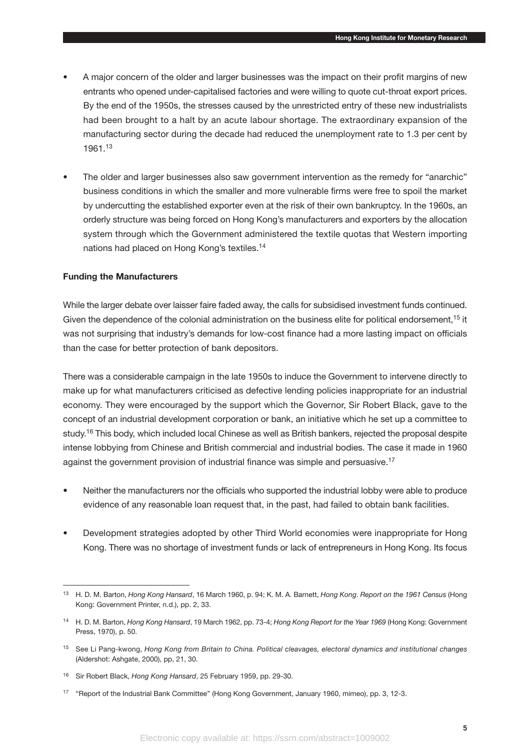- A major concern of the older and larger businesses was the impact on their profit margins of new entrants who opened under-capitalised factories and were willing to quote cut-throat export prices. By the end of the 1950s, the stresses caused by the unrestricted entry of these new industrialists had been brought to a halt by an acute labour shortage. The extraordinary expansion of the manufacturing sector during the decade had reduced the unemployment rate to 1.3 per cent by 1961.<sup>13</sup>
- The older and larger businesses also saw government intervention as the remedy for "anarchic" business conditions in which the smaller and more vulnerable firms were free to spoil the market by undercutting the established exporter even at the risk of their own bankruptcy. In the 1960s, an orderly structure was being forced on Hong Kong's manufacturers and exporters by the allocation system through which the Government administered the textile quotas that Western importing nations had placed on Hong Kong's textiles.<sup>14</sup>

# **Funding the Manufacturers**

While the larger debate over laisser faire faded away, the calls for subsidised investment funds continued. Given the dependence of the colonial administration on the business elite for political endorsement,<sup>15</sup> it was not surprising that industry's demands for low-cost finance had a more lasting impact on officials than the case for better protection of bank depositors.

There was a considerable campaign in the late 1950s to induce the Government to intervene directly to make up for what manufacturers criticised as defective lending policies inappropriate for an industrial economy. They were encouraged by the support which the Governor, Sir Robert Black, gave to the concept of an industrial development corporation or bank, an initiative which he set up a committee to study.<sup>16</sup> This body, which included local Chinese as well as British bankers, rejected the proposal despite intense lobbying from Chinese and British commercial and industrial bodies. The case it made in 1960 against the government provision of industrial finance was simple and persuasive.<sup>17</sup>

- Neither the manufacturers nor the officials who supported the industrial lobby were able to produce evidence of any reasonable loan request that, in the past, had failed to obtain bank facilities.
- Development strategies adopted by other Third World economies were inappropriate for Hong Kong. There was no shortage of investment funds or lack of entrepreneurs in Hong Kong. Its focus

<sup>13</sup> H. D. M. Barton, *Hong Kong Hansard*, 16 March 1960, p. 94; K. M. A. Barnett, *Hong Kong*. *Report on the 1961 Census* (Hong Kong: Government Printer, n.d.), pp. 2, 33.

<sup>14</sup> H. D. M. Barton, *Hong Kong Hansard*, 19 March 1962, pp. 73-4; *Hong Kong Report for the Year 1969* (Hong Kong: Government Press, 1970), p. 50.

<sup>15</sup> See Li Pang-kwong, *Hong Kong from Britain to China. Political cleavages, electoral dynamics and institutional changes* (Aldershot: Ashgate, 2000), pp, 21, 30.

<sup>16</sup> Sir Robert Black, *Hong Kong Hansard*, 25 February 1959, pp. 29-30.

<sup>17</sup> "Report of the Industrial Bank Committee" (Hong Kong Government, January 1960, mimeo), pp. 3, 12-3.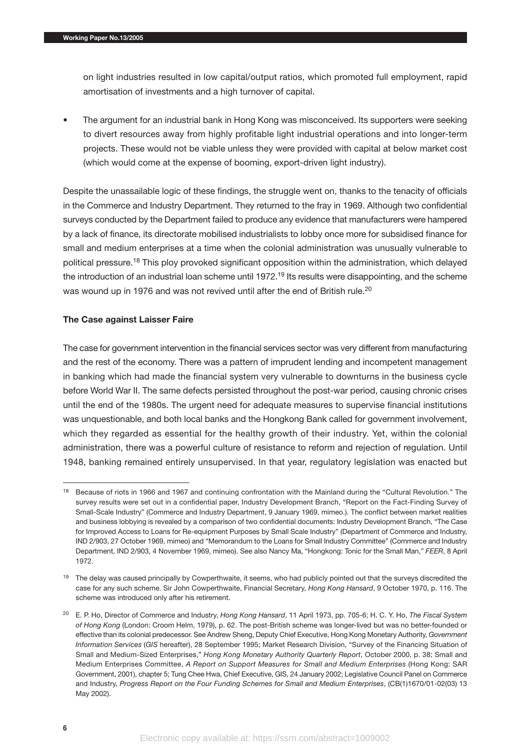on light industries resulted in low capital/output ratios, which promoted full employment, rapid amortisation of investments and a high turnover of capital.

• The argument for an industrial bank in Hong Kong was misconceived. Its supporters were seeking to divert resources away from highly profitable light industrial operations and into longer-term projects. These would not be viable unless they were provided with capital at below market cost (which would come at the expense of booming, export-driven light industry).

Despite the unassailable logic of these findings, the struggle went on, thanks to the tenacity of officials in the Commerce and Industry Department. They returned to the fray in 1969. Although two confidential surveys conducted by the Department failed to produce any evidence that manufacturers were hampered by a lack of finance, its directorate mobilised industrialists to lobby once more for subsidised finance for small and medium enterprises at a time when the colonial administration was unusually vulnerable to political pressure.18 This ploy provoked significant opposition within the administration, which delayed the introduction of an industrial loan scheme until 1972.<sup>19</sup> Its results were disappointing, and the scheme was wound up in 1976 and was not revived until after the end of British rule.<sup>20</sup>

# **The Case against Laisser Faire**

The case for government intervention in the financial services sector was very different from manufacturing and the rest of the economy. There was a pattern of imprudent lending and incompetent management in banking which had made the financial system very vulnerable to downturns in the business cycle before World War II. The same defects persisted throughout the post-war period, causing chronic crises until the end of the 1980s. The urgent need for adequate measures to supervise financial institutions was unquestionable, and both local banks and the Hongkong Bank called for government involvement, which they regarded as essential for the healthy growth of their industry. Yet, within the colonial administration, there was a powerful culture of resistance to reform and rejection of regulation. Until 1948, banking remained entirely unsupervised. In that year, regulatory legislation was enacted but

<sup>&</sup>lt;sup>18</sup> Because of riots in 1966 and 1967 and continuing confrontation with the Mainland during the "Cultural Revolution." The survey results were set out in a confidential paper, Industry Development Branch, "Report on the Fact-Finding Survey of Small-Scale Industry" (Commerce and Industry Department, 9 January 1969, mimeo.). The conflict between market realities and business lobbying is revealed by a comparison of two confidential documents: Industry Development Branch, "The Case for Improved Access to Loans for Re-equipment Purposes by Small Scale Industry" (Department of Commerce and Industry, IND 2/903, 27 October 1969, mimeo) and "Memorandum to the Loans for Small Industry Committee" (Commerce and Industry Department, IND 2/903, 4 November 1969, mimeo). See also Nancy Ma, "Hongkong: Tonic for the Small Man," *FEER*, 8 April 1972.

<sup>&</sup>lt;sup>19</sup> The delay was caused principally by Cowperthwaite, it seems, who had publicly pointed out that the surveys discredited the case for any such scheme. Sir John Cowperthwaite, Financial Secretary, *Hong Kong Hansard*, 9 October 1970, p. 116. The scheme was introduced only after his retirement.

<sup>20</sup> E. P. Ho, Director of Commerce and Industry, *Hong Kong Hansard*, 11 April 1973, pp. 705-6; H. C. Y. Ho, *The Fiscal System of Hong Kong* (London: Croom Helm, 1979), p. 62. The post-British scheme was longer-lived but was no better-founded or effective than its colonial predecessor. See Andrew Sheng, Deputy Chief Executive, Hong Kong Monetary Authority, *Government Information Services* (*GIS* hereafter), 28 September 1995; Market Research Division, "Survey of the Financing Situation of Small and Medium-Sized Enterprises," *Hong Kong Monetary Authority Quarterly Report*, October 2000, p. 38; Small and Medium Enterprises Committee, *A Report on Support Measures for Small and Medium Enterprises* (Hong Kong: SAR Government, 2001), chapter 5; Tung Chee Hwa, Chief Executive, GIS, 24 January 2002; Legislative Council Panel on Commerce and Industry, *Progress Report on the Four Funding Schemes for Small and Medium Enterprises*, (CB(1)1670/01-02(03) 13 May 2002).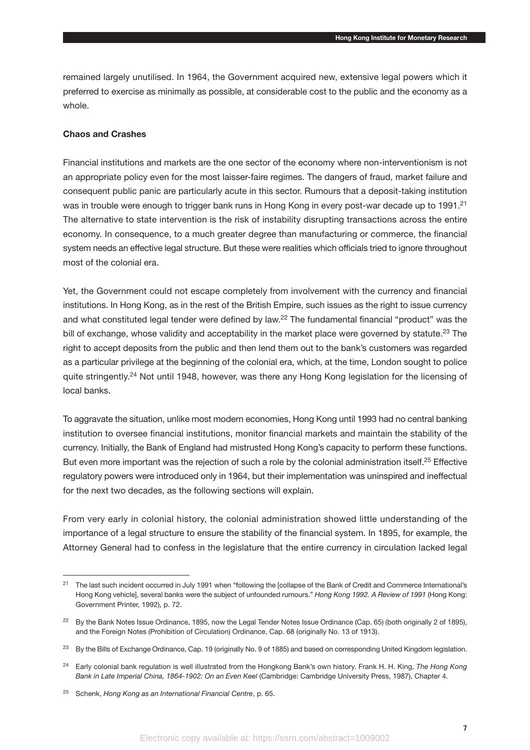remained largely unutilised. In 1964, the Government acquired new, extensive legal powers which it preferred to exercise as minimally as possible, at considerable cost to the public and the economy as a whole.

# **Chaos and Crashes**

Financial institutions and markets are the one sector of the economy where non-interventionism is not an appropriate policy even for the most laisser-faire regimes. The dangers of fraud, market failure and consequent public panic are particularly acute in this sector. Rumours that a deposit-taking institution was in trouble were enough to trigger bank runs in Hong Kong in every post-war decade up to 1991.<sup>21</sup> The alternative to state intervention is the risk of instability disrupting transactions across the entire economy. In consequence, to a much greater degree than manufacturing or commerce, the financial system needs an effective legal structure. But these were realities which officials tried to ignore throughout most of the colonial era.

Yet, the Government could not escape completely from involvement with the currency and financial institutions. In Hong Kong, as in the rest of the British Empire, such issues as the right to issue currency and what constituted legal tender were defined by law.<sup>22</sup> The fundamental financial "product" was the bill of exchange, whose validity and acceptability in the market place were governed by statute.<sup>23</sup> The right to accept deposits from the public and then lend them out to the bank's customers was regarded as a particular privilege at the beginning of the colonial era, which, at the time, London sought to police quite stringently.<sup>24</sup> Not until 1948, however, was there any Hong Kong legislation for the licensing of local banks.

To aggravate the situation, unlike most modern economies, Hong Kong until 1993 had no central banking institution to oversee financial institutions, monitor financial markets and maintain the stability of the currency. Initially, the Bank of England had mistrusted Hong Kong's capacity to perform these functions. But even more important was the rejection of such a role by the colonial administration itself.<sup>25</sup> Effective regulatory powers were introduced only in 1964, but their implementation was uninspired and ineffectual for the next two decades, as the following sections will explain.

From very early in colonial history, the colonial administration showed little understanding of the importance of a legal structure to ensure the stability of the financial system. In 1895, for example, the Attorney General had to confess in the legislature that the entire currency in circulation lacked legal

<sup>&</sup>lt;sup>21</sup> The last such incident occurred in July 1991 when "following the [collapse of the Bank of Credit and Commerce International's Hong Kong vehicle], several banks were the subject of unfounded rumours." *Hong Kong 1992. A Review of 1991* (Hong Kong: Government Printer, 1992), p. 72.

<sup>&</sup>lt;sup>22</sup> By the Bank Notes Issue Ordinance, 1895, now the Legal Tender Notes Issue Ordinance (Cap. 65) (both originally 2 of 1895), and the Foreign Notes (Prohibition of Circulation) Ordinance, Cap. 68 (originally No. 13 of 1913).

<sup>&</sup>lt;sup>23</sup> By the Bills of Exchange Ordinance, Cap. 19 (originally No. 9 of 1885) and based on corresponding United Kingdom legislation.

<sup>24</sup> Early colonial bank regulation is well illustrated from the Hongkong Bank's own history. Frank H. H. King, *The Hong Kong Bank in Late Imperial China, 1864-1902: On an Even Keel* (Cambridge: Cambridge University Press, 1987), Chapter 4.

<sup>25</sup> Schenk, *Hong Kong as an International Financial Centre*, p. 65.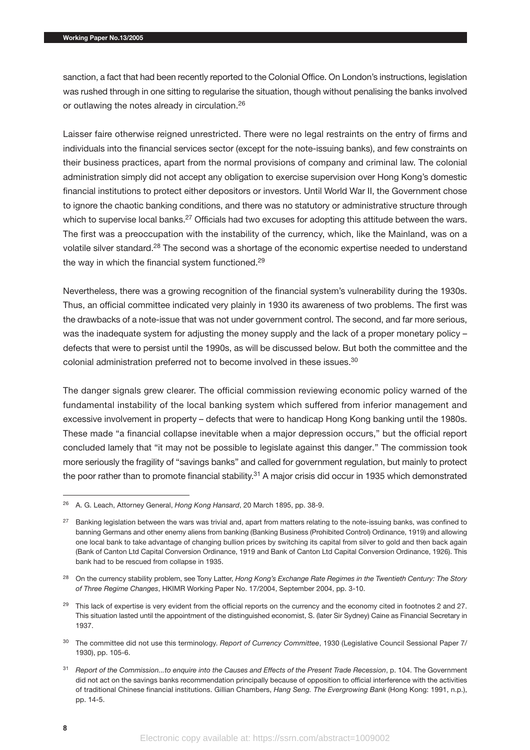sanction, a fact that had been recently reported to the Colonial Office. On London's instructions, legislation was rushed through in one sitting to regularise the situation, though without penalising the banks involved or outlawing the notes already in circulation.<sup>26</sup>

Laisser faire otherwise reigned unrestricted. There were no legal restraints on the entry of firms and individuals into the financial services sector (except for the note-issuing banks), and few constraints on their business practices, apart from the normal provisions of company and criminal law. The colonial administration simply did not accept any obligation to exercise supervision over Hong Kong's domestic financial institutions to protect either depositors or investors. Until World War II, the Government chose to ignore the chaotic banking conditions, and there was no statutory or administrative structure through which to supervise local banks.<sup>27</sup> Officials had two excuses for adopting this attitude between the wars. The first was a preoccupation with the instability of the currency, which, like the Mainland, was on a volatile silver standard.28 The second was a shortage of the economic expertise needed to understand the way in which the financial system functioned.<sup>29</sup>

Nevertheless, there was a growing recognition of the financial system's vulnerability during the 1930s. Thus, an official committee indicated very plainly in 1930 its awareness of two problems. The first was the drawbacks of a note-issue that was not under government control. The second, and far more serious, was the inadequate system for adjusting the money supply and the lack of a proper monetary policy – defects that were to persist until the 1990s, as will be discussed below. But both the committee and the colonial administration preferred not to become involved in these issues.<sup>30</sup>

The danger signals grew clearer. The official commission reviewing economic policy warned of the fundamental instability of the local banking system which suffered from inferior management and excessive involvement in property – defects that were to handicap Hong Kong banking until the 1980s. These made "a financial collapse inevitable when a major depression occurs," but the official report concluded lamely that "it may not be possible to legislate against this danger." The commission took more seriously the fragility of "savings banks" and called for government regulation, but mainly to protect the poor rather than to promote financial stability.<sup>31</sup> A major crisis did occur in 1935 which demonstrated

<sup>26</sup> A. G. Leach, Attorney General, *Hong Kong Hansard*, 20 March 1895, pp. 38-9.

<sup>&</sup>lt;sup>27</sup> Banking legislation between the wars was trivial and, apart from matters relating to the note-issuing banks, was confined to banning Germans and other enemy aliens from banking (Banking Business (Prohibited Control) Ordinance, 1919) and allowing one local bank to take advantage of changing bullion prices by switching its capital from silver to gold and then back again (Bank of Canton Ltd Capital Conversion Ordinance, 1919 and Bank of Canton Ltd Capital Conversion Ordinance, 1926). This bank had to be rescued from collapse in 1935.

<sup>28</sup> On the currency stability problem, see Tony Latter, *Hong Kong's Exchange Rate Regimes in the Twentieth Century: The Story of Three Regime Changes*, HKIMR Working Paper No. 17/2004, September 2004, pp. 3-10.

<sup>&</sup>lt;sup>29</sup> This lack of expertise is very evident from the official reports on the currency and the economy cited in footnotes 2 and 27. This situation lasted until the appointment of the distinguished economist, S. (later Sir Sydney) Caine as Financial Secretary in 1937.

<sup>30</sup> The committee did not use this terminology. *Report of Currency Committee*, 1930 (Legislative Council Sessional Paper 7/ 1930), pp. 105-6.

<sup>31</sup> *Report of the Commission...to enquire into the Causes and Effects of the Present Trade Recession*, p. 104. The Government did not act on the savings banks recommendation principally because of opposition to official interference with the activities of traditional Chinese financial institutions. Gillian Chambers, *Hang Seng. The Evergrowing Bank* (Hong Kong: 1991, n.p.), pp. 14-5.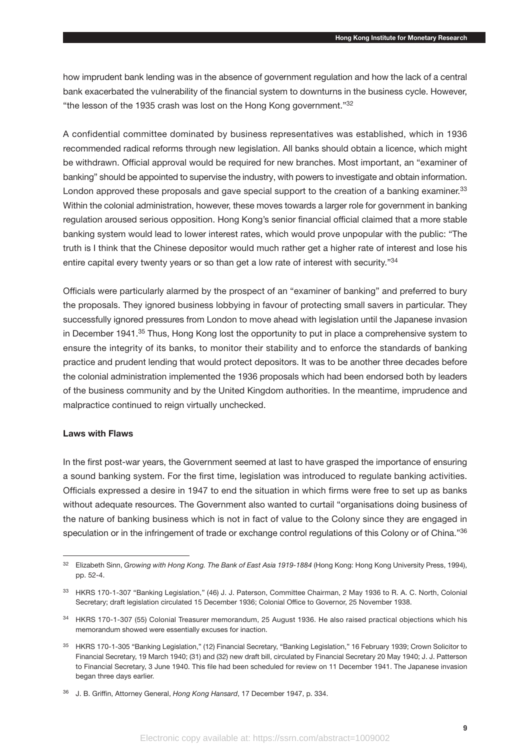how imprudent bank lending was in the absence of government regulation and how the lack of a central bank exacerbated the vulnerability of the financial system to downturns in the business cycle. However, "the lesson of the 1935 crash was lost on the Hong Kong government."32

A confidential committee dominated by business representatives was established, which in 1936 recommended radical reforms through new legislation. All banks should obtain a licence, which might be withdrawn. Official approval would be required for new branches. Most important, an "examiner of banking" should be appointed to supervise the industry, with powers to investigate and obtain information. London approved these proposals and gave special support to the creation of a banking examiner.<sup>33</sup> Within the colonial administration, however, these moves towards a larger role for government in banking regulation aroused serious opposition. Hong Kong's senior financial official claimed that a more stable banking system would lead to lower interest rates, which would prove unpopular with the public: "The truth is I think that the Chinese depositor would much rather get a higher rate of interest and lose his entire capital every twenty years or so than get a low rate of interest with security."34

Officials were particularly alarmed by the prospect of an "examiner of banking" and preferred to bury the proposals. They ignored business lobbying in favour of protecting small savers in particular. They successfully ignored pressures from London to move ahead with legislation until the Japanese invasion in December 1941.<sup>35</sup> Thus, Hong Kong lost the opportunity to put in place a comprehensive system to ensure the integrity of its banks, to monitor their stability and to enforce the standards of banking practice and prudent lending that would protect depositors. It was to be another three decades before the colonial administration implemented the 1936 proposals which had been endorsed both by leaders of the business community and by the United Kingdom authorities. In the meantime, imprudence and malpractice continued to reign virtually unchecked.

# **Laws with Flaws**

In the first post-war years, the Government seemed at last to have grasped the importance of ensuring a sound banking system. For the first time, legislation was introduced to regulate banking activities. Officials expressed a desire in 1947 to end the situation in which firms were free to set up as banks without adequate resources. The Government also wanted to curtail "organisations doing business of the nature of banking business which is not in fact of value to the Colony since they are engaged in speculation or in the infringement of trade or exchange control regulations of this Colony or of China."36

<sup>32</sup> Elizabeth Sinn, *Growing with Hong Kong. The Bank of East Asia 1919-1884* (Hong Kong: Hong Kong University Press, 1994), pp. 52-4.

<sup>33</sup> HKRS 170-1-307 "Banking Legislation," (46) J. J. Paterson, Committee Chairman, 2 May 1936 to R. A. C. North, Colonial Secretary; draft legislation circulated 15 December 1936; Colonial Office to Governor, 25 November 1938.

<sup>&</sup>lt;sup>34</sup> HKRS 170-1-307 (55) Colonial Treasurer memorandum, 25 August 1936. He also raised practical objections which his memorandum showed were essentially excuses for inaction.

<sup>35</sup> HKRS 170-1-305 "Banking Legislation," (12) Financial Secretary, "Banking Legislation," 16 February 1939; Crown Solicitor to Financial Secretary, 19 March 1940; (31) and (32) new draft bill, circulated by Financial Secretary 20 May 1940; J. J. Patterson to Financial Secretary, 3 June 1940. This file had been scheduled for review on 11 December 1941. The Japanese invasion began three days earlier.

<sup>36</sup> J. B. Griffin, Attorney General, *Hong Kong Hansard*, 17 December 1947, p. 334.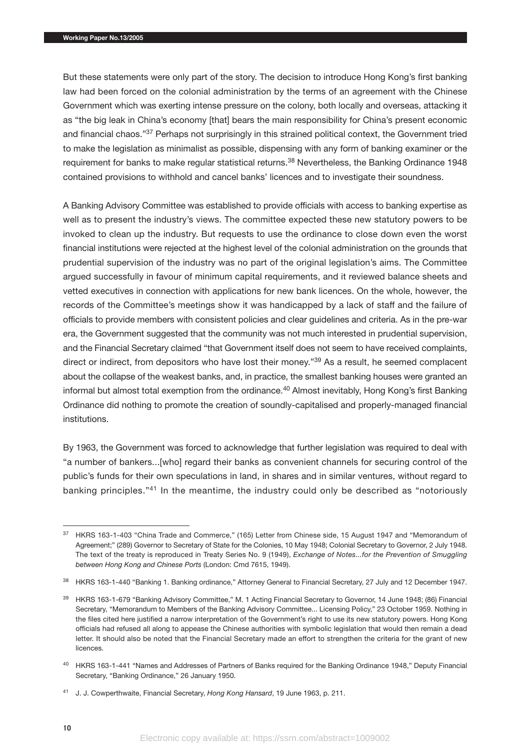But these statements were only part of the story. The decision to introduce Hong Kong's first banking law had been forced on the colonial administration by the terms of an agreement with the Chinese Government which was exerting intense pressure on the colony, both locally and overseas, attacking it as "the big leak in China's economy [that] bears the main responsibility for China's present economic and financial chaos."<sup>37</sup> Perhaps not surprisingly in this strained political context, the Government tried to make the legislation as minimalist as possible, dispensing with any form of banking examiner or the requirement for banks to make regular statistical returns.<sup>38</sup> Nevertheless, the Banking Ordinance 1948 contained provisions to withhold and cancel banks' licences and to investigate their soundness.

A Banking Advisory Committee was established to provide officials with access to banking expertise as well as to present the industry's views. The committee expected these new statutory powers to be invoked to clean up the industry. But requests to use the ordinance to close down even the worst financial institutions were rejected at the highest level of the colonial administration on the grounds that prudential supervision of the industry was no part of the original legislation's aims. The Committee argued successfully in favour of minimum capital requirements, and it reviewed balance sheets and vetted executives in connection with applications for new bank licences. On the whole, however, the records of the Committee's meetings show it was handicapped by a lack of staff and the failure of officials to provide members with consistent policies and clear guidelines and criteria. As in the pre-war era, the Government suggested that the community was not much interested in prudential supervision, and the Financial Secretary claimed "that Government itself does not seem to have received complaints, direct or indirect, from depositors who have lost their money."39 As a result, he seemed complacent about the collapse of the weakest banks, and, in practice, the smallest banking houses were granted an informal but almost total exemption from the ordinance.<sup>40</sup> Almost inevitably, Hong Kong's first Banking Ordinance did nothing to promote the creation of soundly-capitalised and properly-managed financial institutions.

By 1963, the Government was forced to acknowledge that further legislation was required to deal with "a number of bankers...[who] regard their banks as convenient channels for securing control of the public's funds for their own speculations in land, in shares and in similar ventures, without regard to banking principles."41 In the meantime, the industry could only be described as "notoriously

<sup>&</sup>lt;sup>37</sup> HKRS 163-1-403 "China Trade and Commerce," (165) Letter from Chinese side, 15 August 1947 and "Memorandum of Agreement;" (289) Governor to Secretary of State for the Colonies, 10 May 1948; Colonial Secretary to Governor, 2 July 1948. The text of the treaty is reproduced in Treaty Series No. 9 (1949), *Exchange of Notes...for the Prevention of Smuggling between Hong Kong and Chinese Ports* (London: Cmd 7615, 1949).

<sup>38</sup> HKRS 163-1-440 "Banking 1. Banking ordinance," Attorney General to Financial Secretary, 27 July and 12 December 1947.

<sup>39</sup> HKRS 163-1-679 "Banking Advisory Committee," M. 1 Acting Financial Secretary to Governor, 14 June 1948; (86) Financial Secretary, "Memorandum to Members of the Banking Advisory Committee... Licensing Policy," 23 October 1959. Nothing in the files cited here justified a narrow interpretation of the Government's right to use its new statutory powers. Hong Kong officials had refused all along to appease the Chinese authorities with symbolic legislation that would then remain a dead letter. It should also be noted that the Financial Secretary made an effort to strengthen the criteria for the grant of new licences.

<sup>40</sup> HKRS 163-1-441 "Names and Addresses of Partners of Banks required for the Banking Ordinance 1948," Deputy Financial Secretary, "Banking Ordinance," 26 January 1950.

<sup>41</sup> J. J. Cowperthwaite, Financial Secretary, *Hong Kong Hansard*, 19 June 1963, p. 211.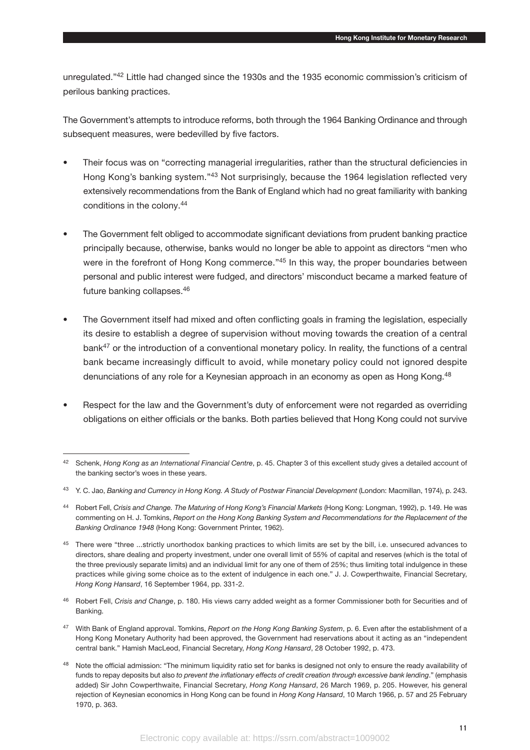unregulated."42 Little had changed since the 1930s and the 1935 economic commission's criticism of perilous banking practices.

The Government's attempts to introduce reforms, both through the 1964 Banking Ordinance and through subsequent measures, were bedevilled by five factors.

- Their focus was on "correcting managerial irregularities, rather than the structural deficiencies in Hong Kong's banking system."43 Not surprisingly, because the 1964 legislation reflected very extensively recommendations from the Bank of England which had no great familiarity with banking conditions in the colony.<sup>44</sup>
- The Government felt obliged to accommodate significant deviations from prudent banking practice principally because, otherwise, banks would no longer be able to appoint as directors "men who were in the forefront of Hong Kong commerce."<sup>45</sup> In this way, the proper boundaries between personal and public interest were fudged, and directors' misconduct became a marked feature of future banking collapses.46
- The Government itself had mixed and often conflicting goals in framing the legislation, especially its desire to establish a degree of supervision without moving towards the creation of a central bank<sup>47</sup> or the introduction of a conventional monetary policy. In reality, the functions of a central bank became increasingly difficult to avoid, while monetary policy could not ignored despite denunciations of any role for a Keynesian approach in an economy as open as Hong Kong.<sup>48</sup>
- Respect for the law and the Government's duty of enforcement were not regarded as overriding obligations on either officials or the banks. Both parties believed that Hong Kong could not survive

<sup>42</sup> Schenk, *Hong Kong as an International Financial Centre*, p. 45. Chapter 3 of this excellent study gives a detailed account of the banking sector's woes in these years.

<sup>&</sup>lt;sup>43</sup> Y. C. Jao, *Banking and Currency in Hong Kong. A Study of Postwar Financial Development (London: Macmillan, 1974), p. 243.* 

<sup>44</sup> Robert Fell, *Crisis and Change. The Maturing of Hong Kong's Financial Markets* (Hong Kong: Longman, 1992), p. 149. He was commenting on H. J. Tomkins, *Report on the Hong Kong Banking System and Recommendations for the Replacement of the Banking Ordinance 1948* (Hong Kong: Government Printer, 1962).

<sup>&</sup>lt;sup>45</sup> There were "three ...strictly unorthodox banking practices to which limits are set by the bill, i.e. unsecured advances to directors, share dealing and property investment, under one overall limit of 55% of capital and reserves (which is the total of the three previously separate limits) and an individual limit for any one of them of 25%; thus limiting total indulgence in these practices while giving some choice as to the extent of indulgence in each one." J. J. Cowperthwaite, Financial Secretary, *Hong Kong Hansard*, 16 September 1964, pp. 331-2.

<sup>46</sup> Robert Fell, *Crisis and Change*, p. 180. His views carry added weight as a former Commissioner both for Securities and of Banking.

<sup>47</sup> With Bank of England approval. Tomkins, *Report on the Hong Kong Banking System*, p. 6. Even after the establishment of a Hong Kong Monetary Authority had been approved, the Government had reservations about it acting as an "independent central bank." Hamish MacLeod, Financial Secretary, *Hong Kong Hansard*, 28 October 1992, p. 473.

<sup>&</sup>lt;sup>48</sup> Note the official admission: "The minimum liquidity ratio set for banks is designed not only to ensure the ready availability of funds to repay deposits but also *to prevent the inflationary effects of credit creation through excessive bank lending.*" (emphasis added) Sir John Cowperthwaite, Financial Secretary, *Hong Kong Hansard*, 26 March 1969, p. 205. However, his general rejection of Keynesian economics in Hong Kong can be found in *Hong Kong Hansard*, 10 March 1966, p. 57 and 25 February 1970, p. 363.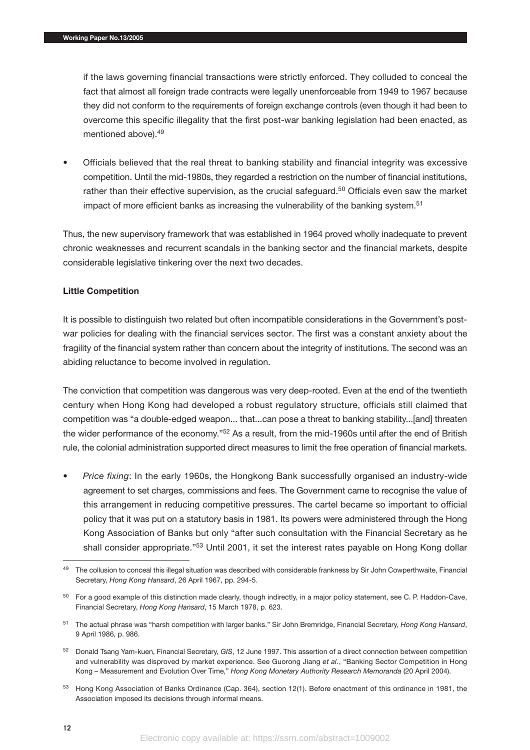if the laws governing financial transactions were strictly enforced. They colluded to conceal the fact that almost all foreign trade contracts were legally unenforceable from 1949 to 1967 because they did not conform to the requirements of foreign exchange controls (even though it had been to overcome this specific illegality that the first post-war banking legislation had been enacted, as mentioned above).49

• Officials believed that the real threat to banking stability and financial integrity was excessive competition. Until the mid-1980s, they regarded a restriction on the number of financial institutions, rather than their effective supervision, as the crucial safeguard.<sup>50</sup> Officials even saw the market impact of more efficient banks as increasing the vulnerability of the banking system.<sup>51</sup>

Thus, the new supervisory framework that was established in 1964 proved wholly inadequate to prevent chronic weaknesses and recurrent scandals in the banking sector and the financial markets, despite considerable legislative tinkering over the next two decades.

# **Little Competition**

It is possible to distinguish two related but often incompatible considerations in the Government's postwar policies for dealing with the financial services sector. The first was a constant anxiety about the fragility of the financial system rather than concern about the integrity of institutions. The second was an abiding reluctance to become involved in regulation.

The conviction that competition was dangerous was very deep-rooted. Even at the end of the twentieth century when Hong Kong had developed a robust regulatory structure, officials still claimed that competition was "a double-edged weapon... that...can pose a threat to banking stability...[and] threaten the wider performance of the economy."52 As a result, from the mid-1960s until after the end of British rule, the colonial administration supported direct measures to limit the free operation of financial markets.

• *Price fixing*: In the early 1960s, the Hongkong Bank successfully organised an industry-wide agreement to set charges, commissions and fees. The Government came to recognise the value of this arrangement in reducing competitive pressures. The cartel became so important to official policy that it was put on a statutory basis in 1981. Its powers were administered through the Hong Kong Association of Banks but only "after such consultation with the Financial Secretary as he shall consider appropriate."<sup>53</sup> Until 2001, it set the interest rates payable on Hong Kong dollar

<sup>49</sup> The collusion to conceal this illegal situation was described with considerable frankness by Sir John Cowperthwaite, Financial Secretary, *Hong Kong Hansard*, 26 April 1967, pp. 294-5.

<sup>&</sup>lt;sup>50</sup> For a good example of this distinction made clearly, though indirectly, in a major policy statement, see C. P. Haddon-Cave, Financial Secretary, *Hong Kong Hansard*, 15 March 1978, p. 623.

<sup>51</sup> The actual phrase was "harsh competition with larger banks." Sir John Bremridge, Financial Secretary, *Hong Kong Hansard*, 9 April 1986, p. 986.

<sup>52</sup> Donald Tsang Yam-kuen, Financial Secretary, *GIS*, 12 June 1997. This assertion of a direct connection between competition and vulnerability was disproved by market experience. See Guorong Jiang *et al.*, "Banking Sector Competition in Hong Kong – Measurement and Evolution Over Time," *Hong Kong Monetary Authority Research Memoranda* (20 April 2004).

<sup>53</sup> Hong Kong Association of Banks Ordinance (Cap. 364), section 12(1). Before enactment of this ordinance in 1981, the Association imposed its decisions through informal means.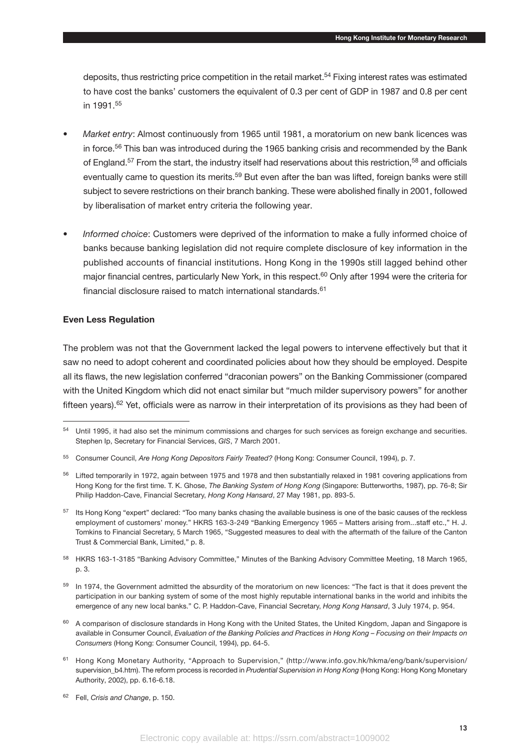deposits, thus restricting price competition in the retail market.54 Fixing interest rates was estimated to have cost the banks' customers the equivalent of 0.3 per cent of GDP in 1987 and 0.8 per cent in 1991 55

- *Market entry*: Almost continuously from 1965 until 1981, a moratorium on new bank licences was in force.<sup>56</sup> This ban was introduced during the 1965 banking crisis and recommended by the Bank of England.<sup>57</sup> From the start, the industry itself had reservations about this restriction.<sup>58</sup> and officials eventually came to question its merits.<sup>59</sup> But even after the ban was lifted, foreign banks were still subject to severe restrictions on their branch banking. These were abolished finally in 2001, followed by liberalisation of market entry criteria the following year.
- *Informed choice*: Customers were deprived of the information to make a fully informed choice of banks because banking legislation did not require complete disclosure of key information in the published accounts of financial institutions. Hong Kong in the 1990s still lagged behind other major financial centres, particularly New York, in this respect.<sup>60</sup> Only after 1994 were the criteria for financial disclosure raised to match international standards <sup>61</sup>

# **Even Less Regulation**

The problem was not that the Government lacked the legal powers to intervene effectively but that it saw no need to adopt coherent and coordinated policies about how they should be employed. Despite all its flaws, the new legislation conferred "draconian powers" on the Banking Commissioner (compared with the United Kingdom which did not enact similar but "much milder supervisory powers" for another fifteen years).<sup>62</sup> Yet, officials were as narrow in their interpretation of its provisions as they had been of

<sup>&</sup>lt;sup>54</sup> Until 1995, it had also set the minimum commissions and charges for such services as foreign exchange and securities. Stephen Ip, Secretary for Financial Services, *GIS*, 7 March 2001.

<sup>55</sup> Consumer Council, *Are Hong Kong Depositors Fairly Treated?* (Hong Kong: Consumer Council, 1994), p. 7.

<sup>&</sup>lt;sup>56</sup> Lifted temporarily in 1972, again between 1975 and 1978 and then substantially relaxed in 1981 covering applications from Hong Kong for the first time. T. K. Ghose, *The Banking System of Hong Kong* (Singapore: Butterworths, 1987), pp. 76-8; Sir Philip Haddon-Cave, Financial Secretary, *Hong Kong Hansard*, 27 May 1981, pp. 893-5.

<sup>&</sup>lt;sup>57</sup> Its Hong Kong "expert" declared: "Too many banks chasing the available business is one of the basic causes of the reckless employment of customers' money." HKRS 163-3-249 "Banking Emergency 1965 – Matters arising from...staff etc.," H. J. Tomkins to Financial Secretary, 5 March 1965, "Suggested measures to deal with the aftermath of the failure of the Canton Trust & Commercial Bank, Limited," p. 8.

<sup>58</sup> HKRS 163-1-3185 "Banking Advisory Committee," Minutes of the Banking Advisory Committee Meeting, 18 March 1965, p. 3.

<sup>&</sup>lt;sup>59</sup> In 1974, the Government admitted the absurdity of the moratorium on new licences: "The fact is that it does prevent the participation in our banking system of some of the most highly reputable international banks in the world and inhibits the emergence of any new local banks." C. P. Haddon-Cave, Financial Secretary, *Hong Kong Hansard*, 3 July 1974, p. 954.

 $60$  A comparison of disclosure standards in Hong Kong with the United States, the United Kingdom, Japan and Singapore is available in Consumer Council, *Evaluation of the Banking Policies and Practices in Hong Kong – Focusing on their Impacts on Consumers* (Hong Kong: Consumer Council, 1994), pp. 64-5.

<sup>61</sup> Hong Kong Monetary Authority, "Approach to Supervision," (http://www.info.gov.hk/hkma/eng/bank/supervision/ supervision b4.htm). The reform process is recorded in *Prudential Supervision in Hong Kong (Hong Kong: Hong Kong Monetary* Authority, 2002), pp. 6.16-6.18.

<sup>62</sup> Fell, *Crisis and Change*, p. 150.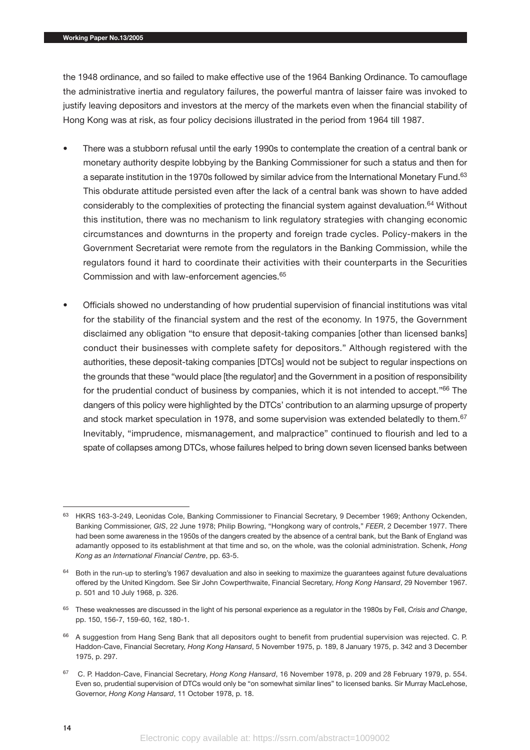the 1948 ordinance, and so failed to make effective use of the 1964 Banking Ordinance. To camouflage the administrative inertia and regulatory failures, the powerful mantra of laisser faire was invoked to justify leaving depositors and investors at the mercy of the markets even when the financial stability of Hong Kong was at risk, as four policy decisions illustrated in the period from 1964 till 1987.

- There was a stubborn refusal until the early 1990s to contemplate the creation of a central bank or monetary authority despite lobbying by the Banking Commissioner for such a status and then for a separate institution in the 1970s followed by similar advice from the International Monetary Fund.<sup>63</sup> This obdurate attitude persisted even after the lack of a central bank was shown to have added considerably to the complexities of protecting the financial system against devaluation.<sup>64</sup> Without this institution, there was no mechanism to link regulatory strategies with changing economic circumstances and downturns in the property and foreign trade cycles. Policy-makers in the Government Secretariat were remote from the regulators in the Banking Commission, while the regulators found it hard to coordinate their activities with their counterparts in the Securities Commission and with law-enforcement agencies.65
- Officials showed no understanding of how prudential supervision of financial institutions was vital for the stability of the financial system and the rest of the economy. In 1975, the Government disclaimed any obligation "to ensure that deposit-taking companies [other than licensed banks] conduct their businesses with complete safety for depositors." Although registered with the authorities, these deposit-taking companies [DTCs] would not be subject to regular inspections on the grounds that these "would place [the regulator] and the Government in a position of responsibility for the prudential conduct of business by companies, which it is not intended to accept."<sup>66</sup> The dangers of this policy were highlighted by the DTCs' contribution to an alarming upsurge of property and stock market speculation in 1978, and some supervision was extended belatedly to them.<sup>67</sup> Inevitably, "imprudence, mismanagement, and malpractice" continued to flourish and led to a spate of collapses among DTCs, whose failures helped to bring down seven licensed banks between

<sup>63</sup> HKRS 163-3-249, Leonidas Cole, Banking Commissioner to Financial Secretary, 9 December 1969; Anthony Ockenden, Banking Commissioner, *GIS*, 22 June 1978; Philip Bowring, "Hongkong wary of controls," *FEER*, 2 December 1977. There had been some awareness in the 1950s of the dangers created by the absence of a central bank, but the Bank of England was adamantly opposed to its establishment at that time and so, on the whole, was the colonial administration. Schenk, *Hong Kong as an International Financial Centre*, pp. 63-5.

<sup>64</sup> Both in the run-up to sterling's 1967 devaluation and also in seeking to maximize the guarantees against future devaluations offered by the United Kingdom. See Sir John Cowperthwaite, Financial Secretary, *Hong Kong Hansard*, 29 November 1967. p. 501 and 10 July 1968, p. 326.

<sup>65</sup> These weaknesses are discussed in the light of his personal experience as a regulator in the 1980s by Fell, *Crisis and Change*, pp. 150, 156-7, 159-60, 162, 180-1.

<sup>&</sup>lt;sup>66</sup> A suggestion from Hang Seng Bank that all depositors ought to benefit from prudential supervision was rejected. C. P. Haddon-Cave, Financial Secretary, *Hong Kong Hansard*, 5 November 1975, p. 189, 8 January 1975, p. 342 and 3 December 1975, p. 297.

<sup>67</sup> C. P. Haddon-Cave, Financial Secretary, *Hong Kong Hansard*, 16 November 1978, p. 209 and 28 February 1979, p. 554. Even so, prudential supervision of DTCs would only be "on somewhat similar lines" to licensed banks. Sir Murray MacLehose, Governor, *Hong Kong Hansard*, 11 October 1978, p. 18.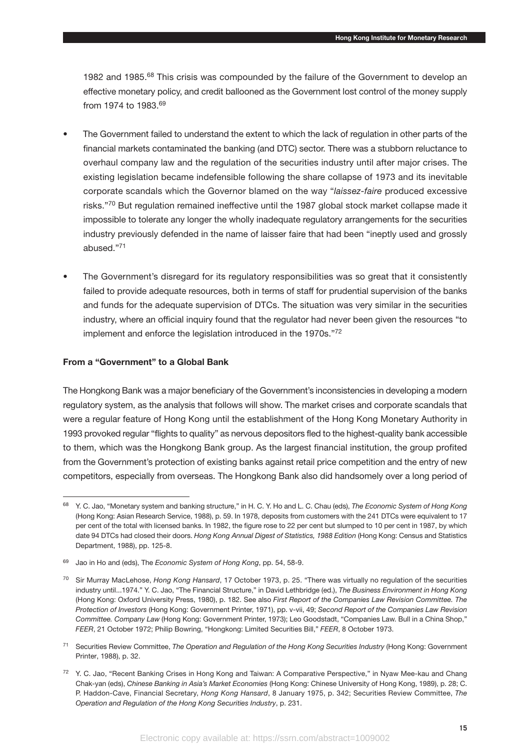1982 and 1985.68 This crisis was compounded by the failure of the Government to develop an effective monetary policy, and credit ballooned as the Government lost control of the money supply from 1974 to 1983.<sup>69</sup>

- The Government failed to understand the extent to which the lack of regulation in other parts of the financial markets contaminated the banking (and DTC) sector. There was a stubborn reluctance to overhaul company law and the regulation of the securities industry until after major crises. The existing legislation became indefensible following the share collapse of 1973 and its inevitable corporate scandals which the Governor blamed on the way "*laissez-faire* produced excessive risks."<sup>70</sup> But regulation remained ineffective until the 1987 global stock market collapse made it impossible to tolerate any longer the wholly inadequate regulatory arrangements for the securities industry previously defended in the name of laisser faire that had been "ineptly used and grossly abused."71
- The Government's disregard for its regulatory responsibilities was so great that it consistently failed to provide adequate resources, both in terms of staff for prudential supervision of the banks and funds for the adequate supervision of DTCs. The situation was very similar in the securities industry, where an official inquiry found that the regulator had never been given the resources "to implement and enforce the legislation introduced in the 1970s."72

#### **From a "Government" to a Global Bank**

The Hongkong Bank was a major beneficiary of the Government's inconsistencies in developing a modern regulatory system, as the analysis that follows will show. The market crises and corporate scandals that were a regular feature of Hong Kong until the establishment of the Hong Kong Monetary Authority in 1993 provoked regular "flights to quality" as nervous depositors fled to the highest-quality bank accessible to them, which was the Hongkong Bank group. As the largest financial institution, the group profited from the Government's protection of existing banks against retail price competition and the entry of new competitors, especially from overseas. The Hongkong Bank also did handsomely over a long period of

<sup>68</sup> Y. C. Jao, "Monetary system and banking structure," in H. C. Y. Ho and L. C. Chau (eds), *The Economic System of Hong Kong* (Hong Kong: Asian Research Service, 1988), p. 59. In 1978, deposits from customers with the 241 DTCs were equivalent to 17 per cent of the total with licensed banks. In 1982, the figure rose to 22 per cent but slumped to 10 per cent in 1987, by which date 94 DTCs had closed their doors. *Hong Kong Annual Digest of Statistics, 1988 Edition* (Hong Kong: Census and Statistics Department, 1988), pp. 125-8.

<sup>69</sup> Jao in Ho and (eds), The *Economic System of Hong Kong*, pp. 54, 58-9.

<sup>70</sup> Sir Murray MacLehose, *Hong Kong Hansard*, 17 October 1973, p. 25. "There was virtually no regulation of the securities industry until...1974." Y. C. Jao, "The Financial Structure," in David Lethbridge (ed.), *The Business Environment in Hong Kong* (Hong Kong: Oxford University Press, 1980), p. 182. See also *First Report of the Companies Law Revision Committee. The Protection of Investors* (Hong Kong: Government Printer, 1971), pp. v-vii, 49; *Second Report of the Companies Law Revision Committee. Company Law* (Hong Kong: Government Printer, 1973); Leo Goodstadt, "Companies Law. Bull in a China Shop," *FEER*, 21 October 1972; Philip Bowring, "Hongkong: Limited Securities Bill," *FEER*, 8 October 1973.

<sup>71</sup> Securities Review Committee, *The Operation and Regulation of the Hong Kong Securities Industry* (Hong Kong: Government Printer, 1988), p. 32.

<sup>72</sup> Y. C. Jao, "Recent Banking Crises in Hong Kong and Taiwan: A Comparative Perspective," in Nyaw Mee-kau and Chang Chak-yan (eds), *Chinese Banking in Asia's Market Economies* (Hong Kong: Chinese University of Hong Kong, 1989), p. 28; C. P. Haddon-Cave, Financial Secretary, *Hong Kong Hansard*, 8 January 1975, p. 342; Securities Review Committee, *The Operation and Regulation of the Hong Kong Securities Industry*, p. 231.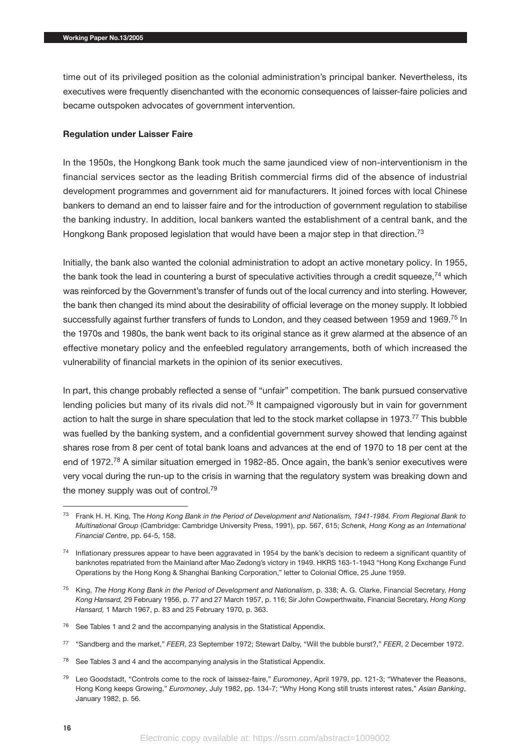time out of its privileged position as the colonial administration's principal banker. Nevertheless, its executives were frequently disenchanted with the economic consequences of laisser-faire policies and became outspoken advocates of government intervention.

#### **Regulation under Laisser Faire**

In the 1950s, the Hongkong Bank took much the same jaundiced view of non-interventionism in the financial services sector as the leading British commercial firms did of the absence of industrial development programmes and government aid for manufacturers. It joined forces with local Chinese bankers to demand an end to laisser faire and for the introduction of government regulation to stabilise the banking industry. In addition, local bankers wanted the establishment of a central bank, and the Hongkong Bank proposed legislation that would have been a major step in that direction.<sup>73</sup>

Initially, the bank also wanted the colonial administration to adopt an active monetary policy. In 1955, the bank took the lead in countering a burst of speculative activities through a credit squeeze,<sup>74</sup> which was reinforced by the Government's transfer of funds out of the local currency and into sterling. However, the bank then changed its mind about the desirability of official leverage on the money supply. It lobbied successfully against further transfers of funds to London, and they ceased between 1959 and 1969.<sup>75</sup> In the 1970s and 1980s, the bank went back to its original stance as it grew alarmed at the absence of an effective monetary policy and the enfeebled regulatory arrangements, both of which increased the vulnerability of financial markets in the opinion of its senior executives.

In part, this change probably reflected a sense of "unfair" competition. The bank pursued conservative lending policies but many of its rivals did not.<sup>76</sup> It campaigned vigorously but in vain for government action to halt the surge in share speculation that led to the stock market collapse in 1973.<sup>77</sup> This bubble was fuelled by the banking system, and a confidential government survey showed that lending against shares rose from 8 per cent of total bank loans and advances at the end of 1970 to 18 per cent at the end of 1972.<sup>78</sup> A similar situation emerged in 1982-85. Once again, the bank's senior executives were very vocal during the run-up to the crisis in warning that the regulatory system was breaking down and the money supply was out of control.<sup>79</sup>

- <sup>76</sup> See Tables 1 and 2 and the accompanying analysis in the Statistical Appendix.
- <sup>77</sup> "Sandberg and the market," *FEER*, 23 September 1972; Stewart Dalby, "Will the bubble burst?," *FEER*, 2 December 1972.
- $78$  See Tables 3 and 4 and the accompanying analysis in the Statistical Appendix.
- <sup>79</sup> Leo Goodstadt, "Controls come to the rock of laissez-faire," *Euromoney*, April 1979, pp. 121-3; "Whatever the Reasons, Hong Kong keeps Growing," *Euromoney*, July 1982, pp. 134-7; "Why Hong Kong still trusts interest rates," *Asian Banking*, January 1982, p. 56.

<sup>73</sup> Frank H. H. King, The *Hong Kong Bank in the Period of Development and Nationalism, 1941-1984. From Regional Bank to Multinational Group* (Cambridge: Cambridge University Press, 1991), pp. 567, 615; *Schenk, Hong Kong as an International Financial Centre*, pp. 64-5, 158.

 $74$  Inflationary pressures appear to have been aggravated in 1954 by the bank's decision to redeem a significant quantity of banknotes repatriated from the Mainland after Mao Zedong's victory in 1949. HKRS 163-1-1943 "Hong Kong Exchange Fund Operations by the Hong Kong & Shanghai Banking Corporation," letter to Colonial Office, 25 June 1959.

<sup>75</sup> King, *The Hong Kong Bank in the Period of Development and Nationalism*, p. 338; A. G. Clarke, Financial Secretary, *Hong Kong Hansard,* 29 February 1956, p. 77 and 27 March 1957, p. 116; Sir John Cowperthwaite, Financial Secretary, *Hong Kong Hansard,* 1 March 1967, p. 83 and 25 February 1970, p. 363.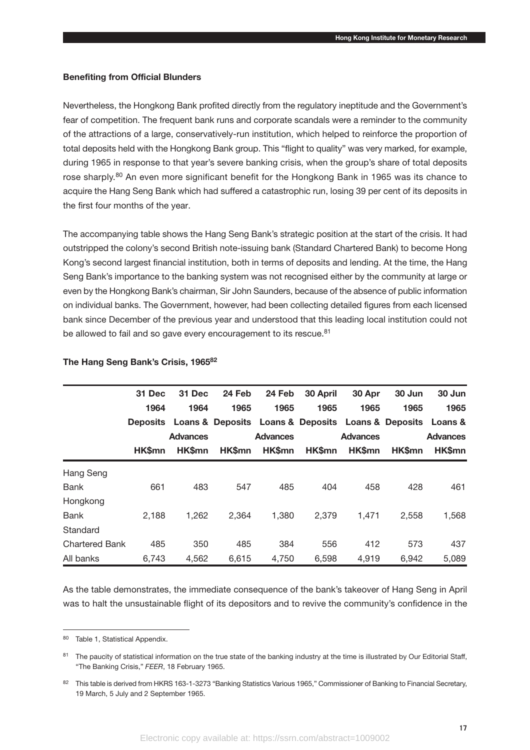# **Benefiting from Official Blunders**

Nevertheless, the Hongkong Bank profited directly from the regulatory ineptitude and the Government's fear of competition. The frequent bank runs and corporate scandals were a reminder to the community of the attractions of a large, conservatively-run institution, which helped to reinforce the proportion of total deposits held with the Hongkong Bank group. This "flight to quality" was very marked, for example, during 1965 in response to that year's severe banking crisis, when the group's share of total deposits rose sharply.<sup>80</sup> An even more significant benefit for the Hongkong Bank in 1965 was its chance to acquire the Hang Seng Bank which had suffered a catastrophic run, losing 39 per cent of its deposits in the first four months of the year.

The accompanying table shows the Hang Seng Bank's strategic position at the start of the crisis. It had outstripped the colony's second British note-issuing bank (Standard Chartered Bank) to become Hong Kong's second largest financial institution, both in terms of deposits and lending. At the time, the Hang Seng Bank's importance to the banking system was not recognised either by the community at large or even by the Hongkong Bank's chairman, Sir John Saunders, because of the absence of public information on individual banks. The Government, however, had been collecting detailed figures from each licensed bank since December of the previous year and understood that this leading local institution could not be allowed to fail and so gave every encouragement to its rescue.<sup>81</sup>

|                       | 31 Dec        | 31 Dec          | 24 Feb        | 24 Feb          | 30 April      | 30 Apr                                                              | 30 Jun        | 30 Jun          |
|-----------------------|---------------|-----------------|---------------|-----------------|---------------|---------------------------------------------------------------------|---------------|-----------------|
|                       | 1964          | 1964            | 1965          | 1965            | 1965          | 1965                                                                | 1965          | 1965            |
|                       |               |                 |               |                 |               | Deposits Loans & Deposits Loans & Deposits Loans & Deposits Loans & |               |                 |
|                       |               | <b>Advances</b> |               | <b>Advances</b> |               | <b>Advances</b>                                                     |               | <b>Advances</b> |
|                       | <b>HK\$mn</b> | <b>HK\$mn</b>   | <b>HK\$mn</b> | <b>HK\$mn</b>   | <b>HK\$mn</b> | <b>HK\$mn</b>                                                       | <b>HK\$mn</b> | HK\$mn          |
| Hang Seng             |               |                 |               |                 |               |                                                                     |               |                 |
| <b>Bank</b>           | 661           | 483             | 547           | 485             | 404           | 458                                                                 | 428           | 461             |
| Hongkong              |               |                 |               |                 |               |                                                                     |               |                 |
| <b>Bank</b>           | 2,188         | 1,262           | 2,364         | 1,380           | 2,379         | 1,471                                                               | 2,558         | 1,568           |
| Standard              |               |                 |               |                 |               |                                                                     |               |                 |
| <b>Chartered Bank</b> | 485           | 350             | 485           | 384             | 556           | 412                                                                 | 573           | 437             |
| All banks             | 6,743         | 4,562           | 6,615         | 4,750           | 6,598         | 4,919                                                               | 6,942         | 5,089           |

# **The Hang Seng Bank's Crisis, 196582**

As the table demonstrates, the immediate consequence of the bank's takeover of Hang Seng in April was to halt the unsustainable flight of its depositors and to revive the community's confidence in the

<sup>80</sup> Table 1, Statistical Appendix.

<sup>&</sup>lt;sup>81</sup> The paucity of statistical information on the true state of the banking industry at the time is illustrated by Our Editorial Staff, "The Banking Crisis," *FEER*, 18 February 1965.

<sup>82</sup> This table is derived from HKRS 163-1-3273 "Banking Statistics Various 1965," Commissioner of Banking to Financial Secretary, 19 March, 5 July and 2 September 1965.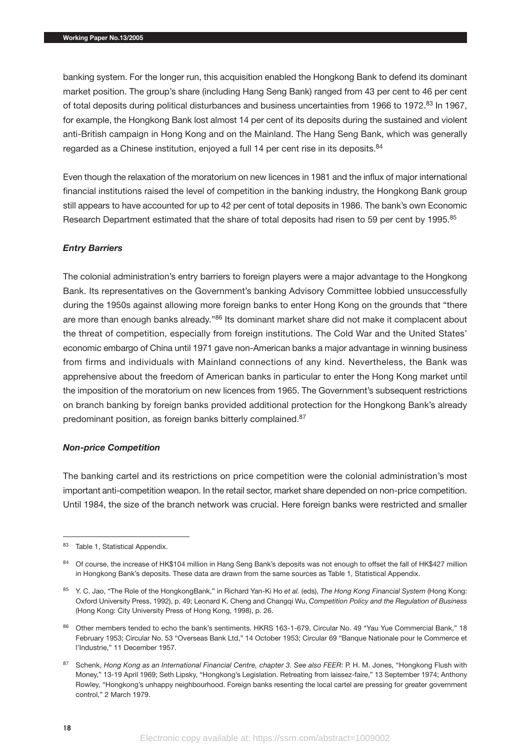banking system. For the longer run, this acquisition enabled the Hongkong Bank to defend its dominant market position. The group's share (including Hang Seng Bank) ranged from 43 per cent to 46 per cent of total deposits during political disturbances and business uncertainties from 1966 to 1972.<sup>83</sup> In 1967, for example, the Hongkong Bank lost almost 14 per cent of its deposits during the sustained and violent anti-British campaign in Hong Kong and on the Mainland. The Hang Seng Bank, which was generally regarded as a Chinese institution, enjoyed a full 14 per cent rise in its deposits.<sup>84</sup>

Even though the relaxation of the moratorium on new licences in 1981 and the influx of major international financial institutions raised the level of competition in the banking industry, the Hongkong Bank group still appears to have accounted for up to 42 per cent of total deposits in 1986. The bank's own Economic Research Department estimated that the share of total deposits had risen to 59 per cent by 1995.<sup>85</sup>

# *Entry Barriers*

The colonial administration's entry barriers to foreign players were a major advantage to the Hongkong Bank. Its representatives on the Government's banking Advisory Committee lobbied unsuccessfully during the 1950s against allowing more foreign banks to enter Hong Kong on the grounds that "there are more than enough banks already."86 Its dominant market share did not make it complacent about the threat of competition, especially from foreign institutions. The Cold War and the United States' economic embargo of China until 1971 gave non-American banks a major advantage in winning business from firms and individuals with Mainland connections of any kind. Nevertheless, the Bank was apprehensive about the freedom of American banks in particular to enter the Hong Kong market until the imposition of the moratorium on new licences from 1965. The Government's subsequent restrictions on branch banking by foreign banks provided additional protection for the Hongkong Bank's already predominant position, as foreign banks bitterly complained.87

#### *Non-price Competition*

The banking cartel and its restrictions on price competition were the colonial administration's most important anti-competition weapon. In the retail sector, market share depended on non-price competition. Until 1984, the size of the branch network was crucial. Here foreign banks were restricted and smaller

<sup>83</sup> Table 1, Statistical Appendix.

<sup>84</sup> Of course, the increase of HK\$104 million in Hang Seng Bank's deposits was not enough to offset the fall of HK\$427 million in Hongkong Bank's deposits. These data are drawn from the same sources as Table 1, Statistical Appendix.

<sup>85</sup> Y. C. Jao, "The Role of the HongkongBank," in Richard Yan-Ki Ho *et al.* (eds), *The Hong Kong Financial System* (Hong Kong: Oxford University Press, 1992), p. 49; Leonard K. Cheng and Changqi Wu, *Competition Policy and the Regulation of Business* (Hong Kong: City University Press of Hong Kong, 1998), p. 26.

<sup>86</sup> Other members tended to echo the bank's sentiments. HKRS 163-1-679, Circular No. 49 "Yau Yue Commercial Bank." 18 February 1953; Circular No. 53 "Overseas Bank Ltd," 14 October 1953; Circular 69 "Banque Nationale pour le Commerce et l'Industrie," 11 December 1957.

<sup>87</sup> Schenk, *Hong Kong as an International Financial Centre, chapter 3. See also FEER*: P. H. M. Jones, "Hongkong Flush with Money," 13-19 April 1969; Seth Lipsky, "Hongkong's Legislation. Retreating from laissez-faire," 13 September 1974; Anthony Rowley, "Hongkong's unhappy neighbourhood. Foreign banks resenting the local cartel are pressing for greater government control," 2 March 1979.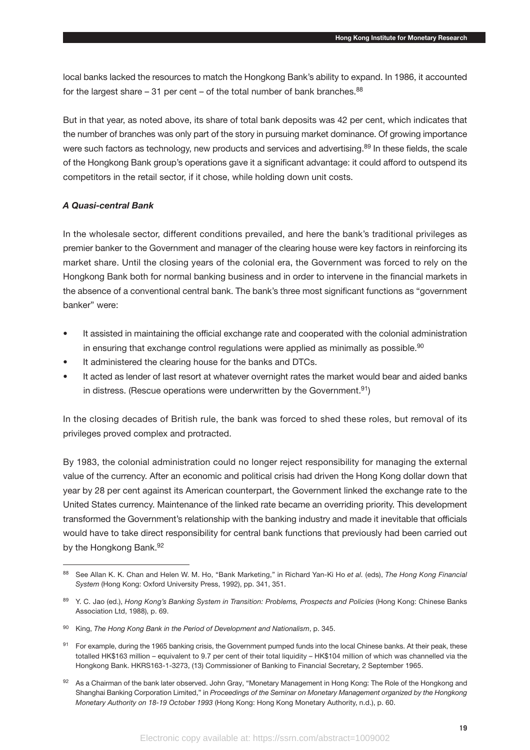local banks lacked the resources to match the Hongkong Bank's ability to expand. In 1986, it accounted for the largest share  $-31$  per cent  $-$  of the total number of bank branches.<sup>88</sup>

But in that year, as noted above, its share of total bank deposits was 42 per cent, which indicates that the number of branches was only part of the story in pursuing market dominance. Of growing importance were such factors as technology, new products and services and advertising.<sup>89</sup> In these fields, the scale of the Hongkong Bank group's operations gave it a significant advantage: it could afford to outspend its competitors in the retail sector, if it chose, while holding down unit costs.

# *A Quasi-central Bank*

In the wholesale sector, different conditions prevailed, and here the bank's traditional privileges as premier banker to the Government and manager of the clearing house were key factors in reinforcing its market share. Until the closing years of the colonial era, the Government was forced to rely on the Hongkong Bank both for normal banking business and in order to intervene in the financial markets in the absence of a conventional central bank. The bank's three most significant functions as "government banker" were:

- It assisted in maintaining the official exchange rate and cooperated with the colonial administration in ensuring that exchange control regulations were applied as minimally as possible.<sup>90</sup>
- It administered the clearing house for the banks and DTCs.
- It acted as lender of last resort at whatever overnight rates the market would bear and aided banks in distress. (Rescue operations were underwritten by the Government.<sup>91</sup>)

In the closing decades of British rule, the bank was forced to shed these roles, but removal of its privileges proved complex and protracted.

By 1983, the colonial administration could no longer reject responsibility for managing the external value of the currency. After an economic and political crisis had driven the Hong Kong dollar down that year by 28 per cent against its American counterpart, the Government linked the exchange rate to the United States currency. Maintenance of the linked rate became an overriding priority. This development transformed the Government's relationship with the banking industry and made it inevitable that officials would have to take direct responsibility for central bank functions that previously had been carried out by the Hongkong Bank.<sup>92</sup>

<sup>88</sup> See Allan K. K. Chan and Helen W. M. Ho, "Bank Marketing," in Richard Yan-Ki Ho *et al.* (eds), *The Hong Kong Financial System* (Hong Kong: Oxford University Press, 1992), pp. 341, 351.

<sup>89</sup> Y. C. Jao (ed.), *Hong Kong's Banking System in Transition: Problems, Prospects and Policies* (Hong Kong: Chinese Banks Association Ltd, 1988), p. 69.

<sup>90</sup> King, *The Hong Kong Bank in the Period of Development and Nationalism*, p. 345.

<sup>&</sup>lt;sup>91</sup> For example, during the 1965 banking crisis, the Government pumped funds into the local Chinese banks. At their peak, these totalled HK\$163 million – equivalent to 9.7 per cent of their total liquidity – HK\$104 million of which was channelled via the Hongkong Bank. HKRS163-1-3273, (13) Commissioner of Banking to Financial Secretary, 2 September 1965.

<sup>92</sup> As a Chairman of the bank later observed. John Gray, "Monetary Management in Hong Kong: The Role of the Hongkong and Shanghai Banking Corporation Limited," in *Proceedings of the Seminar on Monetary Management organized by the Hongkong Monetary Authority on 18-19 October 1993* (Hong Kong: Hong Kong Monetary Authority, n.d.), p. 60.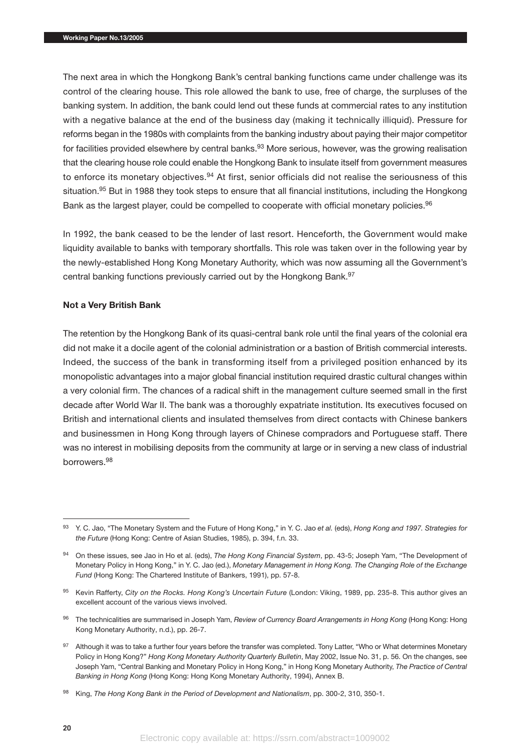The next area in which the Hongkong Bank's central banking functions came under challenge was its control of the clearing house. This role allowed the bank to use, free of charge, the surpluses of the banking system. In addition, the bank could lend out these funds at commercial rates to any institution with a negative balance at the end of the business day (making it technically illiquid). Pressure for reforms began in the 1980s with complaints from the banking industry about paying their major competitor for facilities provided elsewhere by central banks.<sup>93</sup> More serious, however, was the growing realisation that the clearing house role could enable the Hongkong Bank to insulate itself from government measures to enforce its monetary objectives.<sup>94</sup> At first, senior officials did not realise the seriousness of this situation.<sup>95</sup> But in 1988 they took steps to ensure that all financial institutions, including the Hongkong Bank as the largest player, could be compelled to cooperate with official monetary policies.<sup>96</sup>

In 1992, the bank ceased to be the lender of last resort. Henceforth, the Government would make liquidity available to banks with temporary shortfalls. This role was taken over in the following year by the newly-established Hong Kong Monetary Authority, which was now assuming all the Government's central banking functions previously carried out by the Hongkong Bank.<sup>97</sup>

#### **Not a Very British Bank**

The retention by the Hongkong Bank of its quasi-central bank role until the final years of the colonial era did not make it a docile agent of the colonial administration or a bastion of British commercial interests. Indeed, the success of the bank in transforming itself from a privileged position enhanced by its monopolistic advantages into a major global financial institution required drastic cultural changes within a very colonial firm. The chances of a radical shift in the management culture seemed small in the first decade after World War II. The bank was a thoroughly expatriate institution. Its executives focused on British and international clients and insulated themselves from direct contacts with Chinese bankers and businessmen in Hong Kong through layers of Chinese compradors and Portuguese staff. There was no interest in mobilising deposits from the community at large or in serving a new class of industrial borrowers.98

<sup>93</sup> Y. C. Jao, "The Monetary System and the Future of Hong Kong," in Y. C. Jao *et al.* (eds), *Hong Kong and 1997. Strategies for the Future* (Hong Kong: Centre of Asian Studies, 1985), p. 394, f.n. 33.

<sup>94</sup> On these issues, see Jao in Ho et al. (eds), *The Hong Kong Financial System*, pp. 43-5; Joseph Yam, "The Development of Monetary Policy in Hong Kong," in Y. C. Jao (ed.), *Monetary Management in Hong Kong. The Changing Role of the Exchange Fund* (Hong Kong: The Chartered Institute of Bankers, 1991), pp. 57-8.

<sup>95</sup> Kevin Rafferty, *City on the Rocks. Hong Kong's Uncertain Future* (London: Viking, 1989, pp. 235-8. This author gives an excellent account of the various views involved.

<sup>96</sup> The technicalities are summarised in Joseph Yam, *Review of Currency Board Arrangements in Hong Kong* (Hong Kong: Hong Kong Monetary Authority, n.d.), pp. 26-7.

<sup>97</sup> Although it was to take a further four years before the transfer was completed. Tony Latter, "Who or What determines Monetary Policy in Hong Kong?" *Hong Kong Monetary Authority Quarterly Bulletin*, May 2002, Issue No. 31, p. 56. On the changes, see Joseph Yam, "Central Banking and Monetary Policy in Hong Kong," in Hong Kong Monetary Authority, *The Practice of Central Banking in Hong Kong* (Hong Kong: Hong Kong Monetary Authority, 1994), Annex B.

<sup>98</sup> King, *The Hong Kong Bank in the Period of Development and Nationalism*, pp. 300-2, 310, 350-1.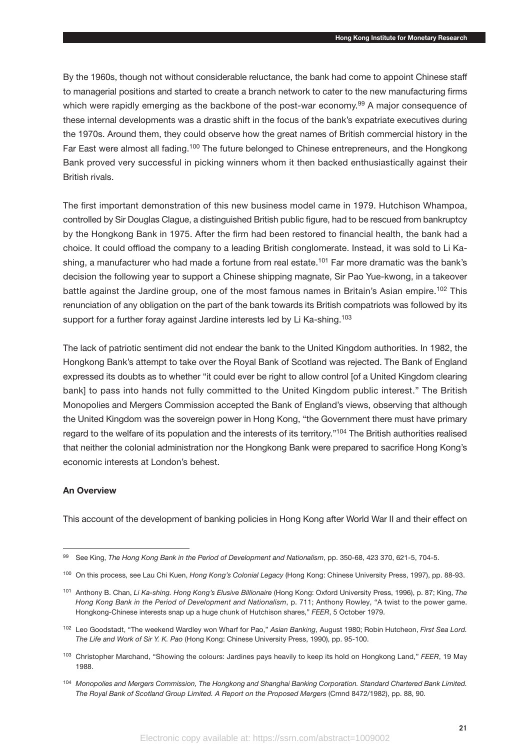By the 1960s, though not without considerable reluctance, the bank had come to appoint Chinese staff to managerial positions and started to create a branch network to cater to the new manufacturing firms which were rapidly emerging as the backbone of the post-war economy.<sup>99</sup> A major consequence of these internal developments was a drastic shift in the focus of the bank's expatriate executives during the 1970s. Around them, they could observe how the great names of British commercial history in the Far East were almost all fading.<sup>100</sup> The future belonged to Chinese entrepreneurs, and the Hongkong Bank proved very successful in picking winners whom it then backed enthusiastically against their British rivals.

The first important demonstration of this new business model came in 1979. Hutchison Whampoa, controlled by Sir Douglas Clague, a distinguished British public figure, had to be rescued from bankruptcy by the Hongkong Bank in 1975. After the firm had been restored to financial health, the bank had a choice. It could offload the company to a leading British conglomerate. Instead, it was sold to Li Kashing, a manufacturer who had made a fortune from real estate.<sup>101</sup> Far more dramatic was the bank's decision the following year to support a Chinese shipping magnate, Sir Pao Yue-kwong, in a takeover battle against the Jardine group, one of the most famous names in Britain's Asian empire.<sup>102</sup> This renunciation of any obligation on the part of the bank towards its British compatriots was followed by its support for a further foray against Jardine interests led by Li Ka-shing.<sup>103</sup>

The lack of patriotic sentiment did not endear the bank to the United Kingdom authorities. In 1982, the Hongkong Bank's attempt to take over the Royal Bank of Scotland was rejected. The Bank of England expressed its doubts as to whether "it could ever be right to allow control [of a United Kingdom clearing bank] to pass into hands not fully committed to the United Kingdom public interest." The British Monopolies and Mergers Commission accepted the Bank of England's views, observing that although the United Kingdom was the sovereign power in Hong Kong, "the Government there must have primary regard to the welfare of its population and the interests of its territory."<sup>104</sup> The British authorities realised that neither the colonial administration nor the Hongkong Bank were prepared to sacrifice Hong Kong's economic interests at London's behest.

# **An Overview**

This account of the development of banking policies in Hong Kong after World War II and their effect on

<sup>99</sup> See King, *The Hong Kong Bank in the Period of Development and Nationalism*, pp. 350-68, 423 370, 621-5, 704-5.

<sup>100</sup> On this process, see Lau Chi Kuen, *Hong Kong's Colonial Legacy* (Hong Kong: Chinese University Press, 1997), pp. 88-93.

<sup>101</sup> Anthony B. Chan, *Li Ka-shing. Hong Kong's Elusive Billionaire* (Hong Kong: Oxford University Press, 1996), p. 87; King, *The Hong Kong Bank in the Period of Development and Nationalism*, p. 711; Anthony Rowley, "A twist to the power game. Hongkong-Chinese interests snap up a huge chunk of Hutchison shares," *FEER*, 5 October 1979.

<sup>102</sup> Leo Goodstadt, "The weekend Wardley won Wharf for Pao," *Asian Banking*, August 1980; Robin Hutcheon, *First Sea Lord. The Life and Work of Sir Y. K. Pao* (Hong Kong: Chinese University Press, 1990), pp. 95-100.

<sup>103</sup> Christopher Marchand, "Showing the colours: Jardines pays heavily to keep its hold on Hongkong Land," *FEER*, 19 May 1988.

<sup>104</sup> *Monopolies and Mergers Commission, The Hongkong and Shanghai Banking Corporation. Standard Chartered Bank Limited. The Royal Bank of Scotland Group Limited. A Report on the Proposed Mergers* (Cmnd 8472/1982), pp. 88, 90.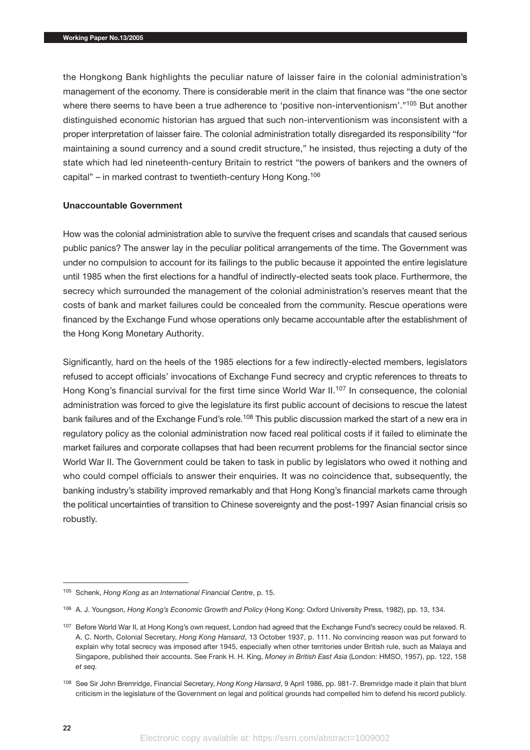the Hongkong Bank highlights the peculiar nature of laisser faire in the colonial administration's management of the economy. There is considerable merit in the claim that finance was "the one sector where there seems to have been a true adherence to 'positive non-interventionism'."<sup>105</sup> But another distinguished economic historian has argued that such non-interventionism was inconsistent with a proper interpretation of laisser faire. The colonial administration totally disregarded its responsibility "for maintaining a sound currency and a sound credit structure," he insisted, thus rejecting a duty of the state which had led nineteenth-century Britain to restrict "the powers of bankers and the owners of capital" – in marked contrast to twentieth-century Hong Kong.106

# **Unaccountable Government**

How was the colonial administration able to survive the frequent crises and scandals that caused serious public panics? The answer lay in the peculiar political arrangements of the time. The Government was under no compulsion to account for its failings to the public because it appointed the entire legislature until 1985 when the first elections for a handful of indirectly-elected seats took place. Furthermore, the secrecy which surrounded the management of the colonial administration's reserves meant that the costs of bank and market failures could be concealed from the community. Rescue operations were financed by the Exchange Fund whose operations only became accountable after the establishment of the Hong Kong Monetary Authority.

Significantly, hard on the heels of the 1985 elections for a few indirectly-elected members, legislators refused to accept officials' invocations of Exchange Fund secrecy and cryptic references to threats to Hong Kong's financial survival for the first time since World War II.<sup>107</sup> In consequence, the colonial administration was forced to give the legislature its first public account of decisions to rescue the latest bank failures and of the Exchange Fund's role.<sup>108</sup> This public discussion marked the start of a new era in regulatory policy as the colonial administration now faced real political costs if it failed to eliminate the market failures and corporate collapses that had been recurrent problems for the financial sector since World War II. The Government could be taken to task in public by legislators who owed it nothing and who could compel officials to answer their enquiries. It was no coincidence that, subsequently, the banking industry's stability improved remarkably and that Hong Kong's financial markets came through the political uncertainties of transition to Chinese sovereignty and the post-1997 Asian financial crisis so robustly.

<sup>105</sup> Schenk, *Hong Kong as an International Financial Centre*, p. 15.

<sup>106</sup> A. J. Youngson, *Hong Kong's Economic Growth and Policy* (Hong Kong: Oxford University Press, 1982), pp. 13, 134.

<sup>107</sup> Before World War II, at Hong Kong's own request, London had agreed that the Exchange Fund's secrecy could be relaxed. R. A. C. North, Colonial Secretary, *Hong Kong Hansard*, 13 October 1937, p. 111. No convincing reason was put forward to explain why total secrecy was imposed after 1945, especially when other territories under British rule, such as Malaya and Singapore, published their accounts. See Frank H. H. King, *Money in British East Asia* (London: HMSO, 1957), pp. 122, 158 *et seq.*

<sup>108</sup> See Sir John Bremridge, Financial Secretary, *Hong Kong Hansard*, 9 April 1986, pp. 981-7. Bremridge made it plain that blunt criticism in the legislature of the Government on legal and political grounds had compelled him to defend his record publicly.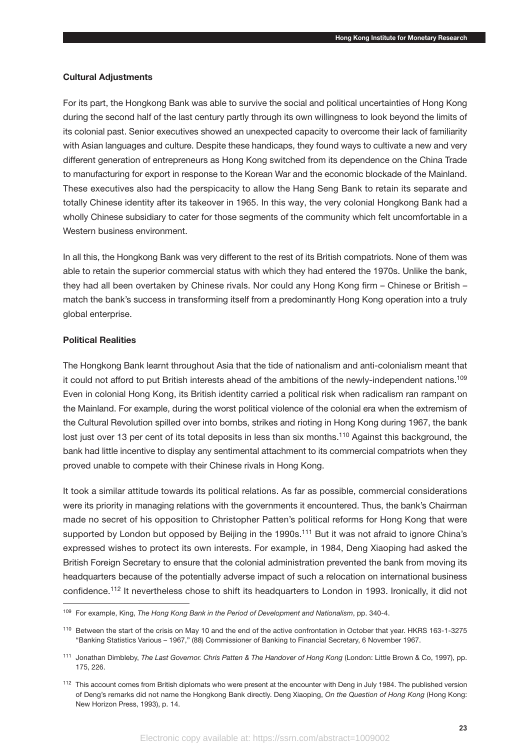#### **Cultural Adjustments**

For its part, the Hongkong Bank was able to survive the social and political uncertainties of Hong Kong during the second half of the last century partly through its own willingness to look beyond the limits of its colonial past. Senior executives showed an unexpected capacity to overcome their lack of familiarity with Asian languages and culture. Despite these handicaps, they found ways to cultivate a new and very different generation of entrepreneurs as Hong Kong switched from its dependence on the China Trade to manufacturing for export in response to the Korean War and the economic blockade of the Mainland. These executives also had the perspicacity to allow the Hang Seng Bank to retain its separate and totally Chinese identity after its takeover in 1965. In this way, the very colonial Hongkong Bank had a wholly Chinese subsidiary to cater for those segments of the community which felt uncomfortable in a Western business environment

In all this, the Hongkong Bank was very different to the rest of its British compatriots. None of them was able to retain the superior commercial status with which they had entered the 1970s. Unlike the bank, they had all been overtaken by Chinese rivals. Nor could any Hong Kong firm – Chinese or British – match the bank's success in transforming itself from a predominantly Hong Kong operation into a truly global enterprise.

# **Political Realities**

The Hongkong Bank learnt throughout Asia that the tide of nationalism and anti-colonialism meant that it could not afford to put British interests ahead of the ambitions of the newly-independent nations.<sup>109</sup> Even in colonial Hong Kong, its British identity carried a political risk when radicalism ran rampant on the Mainland. For example, during the worst political violence of the colonial era when the extremism of the Cultural Revolution spilled over into bombs, strikes and rioting in Hong Kong during 1967, the bank lost just over 13 per cent of its total deposits in less than six months.<sup>110</sup> Against this background, the bank had little incentive to display any sentimental attachment to its commercial compatriots when they proved unable to compete with their Chinese rivals in Hong Kong.

It took a similar attitude towards its political relations. As far as possible, commercial considerations were its priority in managing relations with the governments it encountered. Thus, the bank's Chairman made no secret of his opposition to Christopher Patten's political reforms for Hong Kong that were supported by London but opposed by Beijing in the 1990s.<sup>111</sup> But it was not afraid to ignore China's expressed wishes to protect its own interests. For example, in 1984, Deng Xiaoping had asked the British Foreign Secretary to ensure that the colonial administration prevented the bank from moving its headquarters because of the potentially adverse impact of such a relocation on international business confidence.112 It nevertheless chose to shift its headquarters to London in 1993. Ironically, it did not

<sup>109</sup> For example, King, *The Hong Kong Bank in the Period of Development and Nationalism*, pp. 340-4.

<sup>110</sup> Between the start of the crisis on May 10 and the end of the active confrontation in October that year. HKRS 163-1-3275 "Banking Statistics Various – 1967," (88) Commissioner of Banking to Financial Secretary, 6 November 1967.

<sup>111</sup> Jonathan Dimbleby, *The Last Governor. Chris Patten & The Handover of Hong Kong* (London: Little Brown & Co, 1997), pp. 175, 226.

<sup>&</sup>lt;sup>112</sup> This account comes from British diplomats who were present at the encounter with Deng in July 1984. The published version of Deng's remarks did not name the Hongkong Bank directly. Deng Xiaoping, *On the Question of Hong Kong* (Hong Kong: New Horizon Press, 1993), p. 14.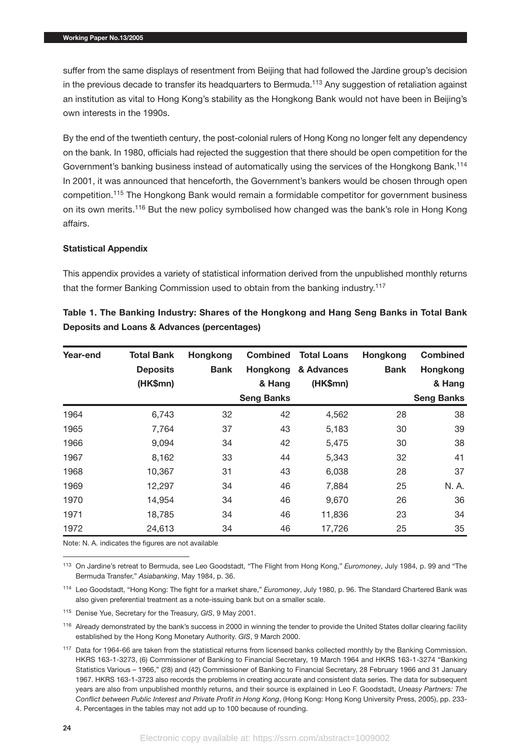suffer from the same displays of resentment from Beijing that had followed the Jardine group's decision in the previous decade to transfer its headquarters to Bermuda.<sup>113</sup> Any suggestion of retaliation against an institution as vital to Hong Kong's stability as the Hongkong Bank would not have been in Beijing's own interests in the 1990s.

By the end of the twentieth century, the post-colonial rulers of Hong Kong no longer felt any dependency on the bank. In 1980, officials had rejected the suggestion that there should be open competition for the Government's banking business instead of automatically using the services of the Hongkong Bank.<sup>114</sup> In 2001, it was announced that henceforth, the Government's bankers would be chosen through open competition.115 The Hongkong Bank would remain a formidable competitor for government business on its own merits.<sup>116</sup> But the new policy symbolised how changed was the bank's role in Hong Kong affairs.

# **Statistical Appendix**

This appendix provides a variety of statistical information derived from the unpublished monthly returns that the former Banking Commission used to obtain from the banking industry.<sup>117</sup>

| Year-end | <b>Total Bank</b> | Hongkong    | <b>Combined</b>   | <b>Total Loans</b> | Hongkong    | <b>Combined</b>   |
|----------|-------------------|-------------|-------------------|--------------------|-------------|-------------------|
|          | <b>Deposits</b>   | <b>Bank</b> | <b>Hongkong</b>   | & Advances         | <b>Bank</b> | Hongkong          |
|          | (HK\$mn)          |             | & Hang            | (HK\$mn)           |             | & Hang            |
|          |                   |             | <b>Seng Banks</b> |                    |             | <b>Seng Banks</b> |
| 1964     | 6,743             | 32          | 42                | 4,562              | 28          | 38                |
| 1965     | 7,764             | 37          | 43                | 5,183              | 30          | 39                |
| 1966     | 9,094             | 34          | 42                | 5,475              | 30          | 38                |
| 1967     | 8,162             | 33          | 44                | 5,343              | 32          | 41                |
| 1968     | 10,367            | 31          | 43                | 6,038              | 28          | 37                |
| 1969     | 12,297            | 34          | 46                | 7,884              | 25          | N. A.             |
| 1970     | 14,954            | 34          | 46                | 9,670              | 26          | 36                |
| 1971     | 18,785            | 34          | 46                | 11,836             | 23          | 34                |
| 1972     | 24,613            | 34          | 46                | 17,726             | 25          | 35                |

**Table 1. The Banking Industry: Shares of the Hongkong and Hang Seng Banks in Total Bank Deposits and Loans & Advances (percentages)**

Note: N. A. indicates the figures are not available

<sup>113</sup> On Jardine's retreat to Bermuda, see Leo Goodstadt, "The Flight from Hong Kong," *Euromoney*, July 1984, p. 99 and "The Bermuda Transfer," *Asiabanking*, May 1984, p. 36.

<sup>114</sup> Leo Goodstadt, "Hong Kong: The fight for a market share," *Euromoney*, July 1980, p. 96. The Standard Chartered Bank was also given preferential treatment as a note-issuing bank but on a smaller scale.

<sup>115</sup> Denise Yue, Secretary for the Treasury, *GIS*, 9 May 2001.

<sup>116</sup> Already demonstrated by the bank's success in 2000 in winning the tender to provide the United States dollar clearing facility established by the Hong Kong Monetary Authority. *GIS*, 9 March 2000.

<sup>117</sup> Data for 1964-66 are taken from the statistical returns from licensed banks collected monthly by the Banking Commission. HKRS 163-1-3273, (6) Commissioner of Banking to Financial Secretary, 19 March 1964 and HKRS 163-1-3274 "Banking Statistics Various – 1966," (28) and (42) Commissioner of Banking to Financial Secretary, 28 February 1966 and 31 January 1967. HKRS 163-1-3723 also records the problems in creating accurate and consistent data series. The data for subsequent years are also from unpublished monthly returns, and their source is explained in Leo F. Goodstadt, *Uneasy Partners: The Conflict between Public Interest and Private Profit in Hong Kong*, (Hong Kong: Hong Kong University Press, 2005), pp. 233- 4. Percentages in the tables may not add up to 100 because of rounding.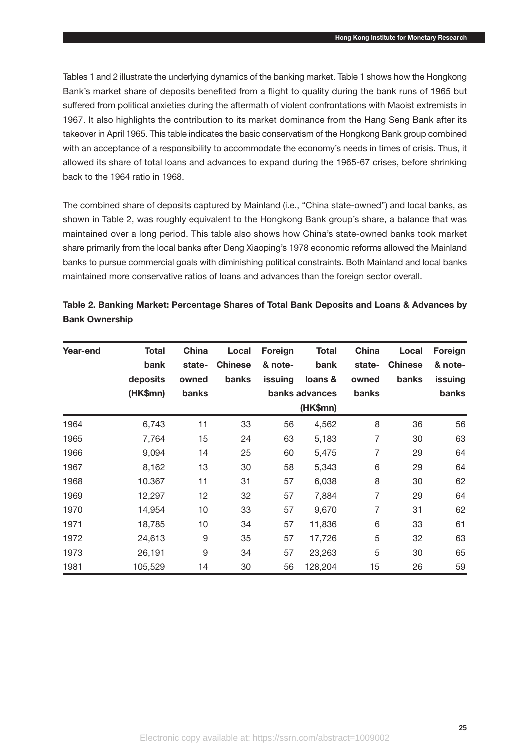Tables 1 and 2 illustrate the underlying dynamics of the banking market. Table 1 shows how the Hongkong Bank's market share of deposits benefited from a flight to quality during the bank runs of 1965 but suffered from political anxieties during the aftermath of violent confrontations with Maoist extremists in 1967. It also highlights the contribution to its market dominance from the Hang Seng Bank after its takeover in April 1965. This table indicates the basic conservatism of the Hongkong Bank group combined with an acceptance of a responsibility to accommodate the economy's needs in times of crisis. Thus, it allowed its share of total loans and advances to expand during the 1965-67 crises, before shrinking back to the 1964 ratio in 1968.

The combined share of deposits captured by Mainland (i.e., "China state-owned") and local banks, as shown in Table 2, was roughly equivalent to the Hongkong Bank group's share, a balance that was maintained over a long period. This table also shows how China's state-owned banks took market share primarily from the local banks after Deng Xiaoping's 1978 economic reforms allowed the Mainland banks to pursue commercial goals with diminishing political constraints. Both Mainland and local banks maintained more conservative ratios of loans and advances than the foreign sector overall.

| Year-end | <b>Total</b><br>bank | <b>China</b><br>state- | Local<br><b>Chinese</b> | Foreign<br>& note- | Total<br>bank  | <b>China</b><br>state- | Local<br><b>Chinese</b> | Foreign<br>& note- |
|----------|----------------------|------------------------|-------------------------|--------------------|----------------|------------------------|-------------------------|--------------------|
|          | deposits             | owned                  | banks                   | issuing            | loans &        | owned                  | banks                   | issuing            |
|          | (HK\$mn)             | banks                  |                         |                    | banks advances | banks                  |                         | banks              |
|          |                      |                        |                         |                    | (HK\$mn)       |                        |                         |                    |
| 1964     | 6,743                | 11                     | 33                      | 56                 | 4,562          | 8                      | 36                      | 56                 |
| 1965     | 7,764                | 15                     | 24                      | 63                 | 5,183          | 7                      | 30                      | 63                 |
| 1966     | 9,094                | 14                     | 25                      | 60                 | 5,475          | 7                      | 29                      | 64                 |
| 1967     | 8,162                | 13                     | 30                      | 58                 | 5,343          | 6                      | 29                      | 64                 |
| 1968     | 10.367               | 11                     | 31                      | 57                 | 6,038          | 8                      | 30                      | 62                 |
| 1969     | 12,297               | 12                     | 32                      | 57                 | 7,884          | 7                      | 29                      | 64                 |
| 1970     | 14,954               | 10                     | 33                      | 57                 | 9,670          | 7                      | 31                      | 62                 |
| 1971     | 18,785               | 10                     | 34                      | 57                 | 11,836         | 6                      | 33                      | 61                 |
| 1972     | 24,613               | $\boldsymbol{9}$       | 35                      | 57                 | 17,726         | 5                      | 32                      | 63                 |
| 1973     | 26,191               | 9                      | 34                      | 57                 | 23,263         | 5                      | 30                      | 65                 |
| 1981     | 105,529              | 14                     | 30                      | 56                 | 128,204        | 15                     | 26                      | 59                 |

|                       |  | Table 2. Banking Market: Percentage Shares of Total Bank Deposits and Loans & Advances by |  |
|-----------------------|--|-------------------------------------------------------------------------------------------|--|
| <b>Bank Ownership</b> |  |                                                                                           |  |